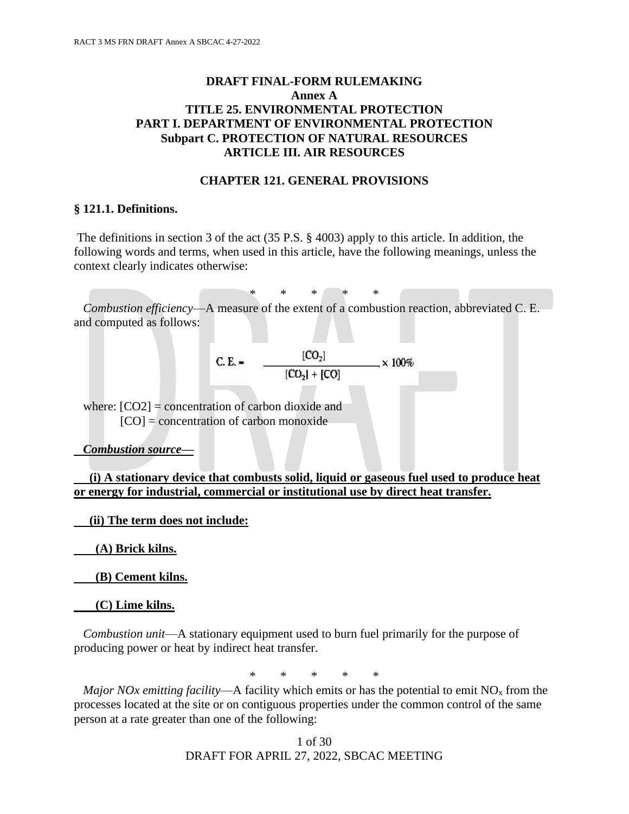# **DRAFT FINAL-FORM RULEMAKING Annex A TITLE 25. ENVIRONMENTAL PROTECTION PART I. DEPARTMENT OF ENVIRONMENTAL PROTECTION Subpart C. PROTECTION OF NATURAL RESOURCES ARTICLE III. AIR RESOURCES**

#### **CHAPTER 121. GENERAL PROVISIONS**

#### **§ 121.1. Definitions.**

The definitions in section 3 of the act (35 P.S. § 4003) apply to this article. In addition, the following words and terms, when used in this article, have the following meanings, unless the context clearly indicates otherwise:

\* \* \* \* \*

 *Combustion efficiency*—A measure of the extent of a combustion reaction, abbreviated C. E. and computed as follows:

C. E. = 
$$
\frac{[CO_2]}{[CO_2] + [CO]}
$$
 × 100%

where:  $[CO2]$  = concentration of carbon dioxide and  $[CO] =$  concentration of carbon monoxide

*Combustion source***—**

 **(i) A stationary device that combusts solid, liquid or gaseous fuel used to produce heat or energy for industrial, commercial or institutional use by direct heat transfer.**

 **(ii) The term does not include:**

 **(A) Brick kilns.**

 **(B) Cement kilns.**

 **(C) Lime kilns.**

 *Combustion unit*—A stationary equipment used to burn fuel primarily for the purpose of producing power or heat by indirect heat transfer.

\* \* \* \* \*

*Major NOx emitting facility*—A facility which emits or has the potential to emit  $NO<sub>x</sub>$  from the processes located at the site or on contiguous properties under the common control of the same person at a rate greater than one of the following: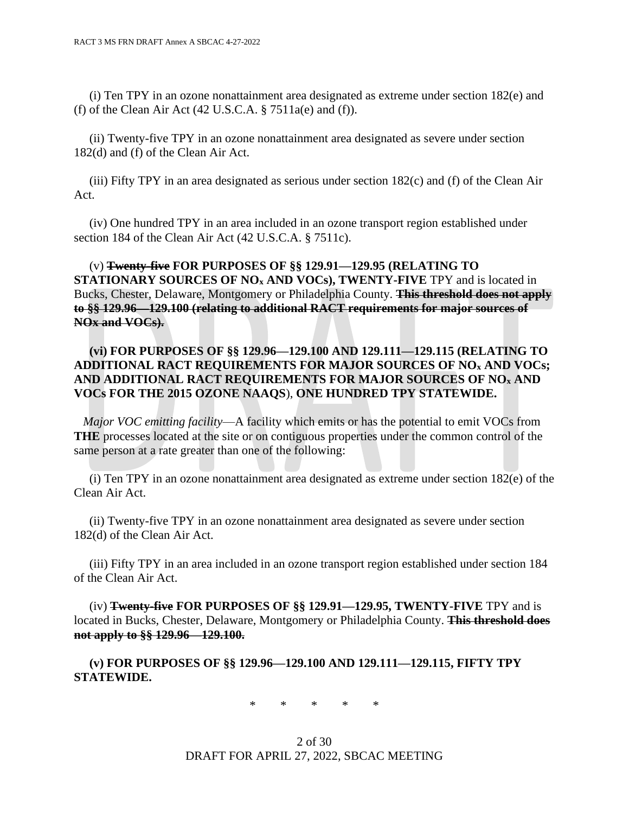(i) Ten TPY in an ozone nonattainment area designated as extreme under section 182(e) and (f) of the Clean Air Act  $(42 \text{ U.S.C.A. } § 7511a(e)$  and  $(f)$ ).

 (ii) Twenty-five TPY in an ozone nonattainment area designated as severe under section 182(d) and (f) of the Clean Air Act.

 (iii) Fifty TPY in an area designated as serious under section 182(c) and (f) of the Clean Air Act.

 (iv) One hundred TPY in an area included in an ozone transport region established under section 184 of the Clean Air Act (42 U.S.C.A. § 7511c).

 (v) **Twenty-five FOR PURPOSES OF §§ 129.91—129.95 (RELATING TO STATIONARY SOURCES OF NO<sup>x</sup> AND VOCs), TWENTY-FIVE** TPY and is located in Bucks, Chester, Delaware, Montgomery or Philadelphia County. **This threshold does not apply to §§ 129.96—129.100 (relating to additional RACT requirements for major sources of NOx and VOCs).**

### **(vi) FOR PURPOSES OF §§ 129.96—129.100 AND 129.111—129.115 (RELATING TO ADDITIONAL RACT REQUIREMENTS FOR MAJOR SOURCES OF NO<sup>x</sup> AND VOCs; AND ADDITIONAL RACT REQUIREMENTS FOR MAJOR SOURCES OF NO<sup>x</sup> AND VOCs FOR THE 2015 OZONE NAAQS**), **ONE HUNDRED TPY STATEWIDE.**

 *Major VOC emitting facility*—A facility which emits or has the potential to emit VOCs from **THE** processes located at the site or on contiguous properties under the common control of the same person at a rate greater than one of the following:

 (i) Ten TPY in an ozone nonattainment area designated as extreme under section 182(e) of the Clean Air Act.

 (ii) Twenty-five TPY in an ozone nonattainment area designated as severe under section 182(d) of the Clean Air Act.

 (iii) Fifty TPY in an area included in an ozone transport region established under section 184 of the Clean Air Act.

 (iv) **Twenty-five FOR PURPOSES OF §§ 129.91—129.95, TWENTY-FIVE** TPY and is located in Bucks, Chester, Delaware, Montgomery or Philadelphia County. **This threshold does not apply to §§ 129.96—129.100.**

 **(v) FOR PURPOSES OF §§ 129.96—129.100 AND 129.111—129.115, FIFTY TPY STATEWIDE.**

\* \* \* \* \*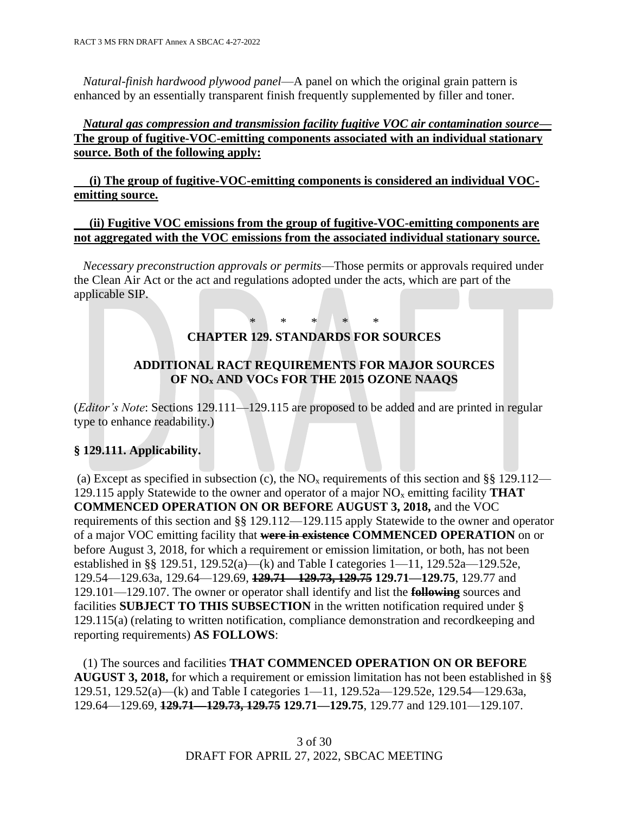*Natural-finish hardwood plywood panel*—A panel on which the original grain pattern is enhanced by an essentially transparent finish frequently supplemented by filler and toner.

## *Natural gas compression and transmission facility fugitive VOC air contamination source***— The group of fugitive-VOC-emitting components associated with an individual stationary source. Both of the following apply:**

 **(i) The group of fugitive-VOC-emitting components is considered an individual VOCemitting source.**

#### **(ii) Fugitive VOC emissions from the group of fugitive-VOC-emitting components are not aggregated with the VOC emissions from the associated individual stationary source.**

 *Necessary preconstruction approvals or permits*—Those permits or approvals required under the Clean Air Act or the act and regulations adopted under the acts, which are part of the applicable SIP.

#### \* \* \* \* \* **CHAPTER 129. STANDARDS FOR SOURCES**

# **ADDITIONAL RACT REQUIREMENTS FOR MAJOR SOURCES OF NO<sup>x</sup> AND VOCs FOR THE 2015 OZONE NAAQS**

(*Editor's Note*: Sections 129.111—129.115 are proposed to be added and are printed in regular type to enhance readability.)

# **§ 129.111. Applicability.**

(a) Except as specified in subsection (c), the  $NO<sub>x</sub>$  requirements of this section and §§ 129.112— 129.115 apply Statewide to the owner and operator of a major NO<sup>x</sup> emitting facility **THAT COMMENCED OPERATION ON OR BEFORE AUGUST 3, 2018,** and the VOC requirements of this section and §§ 129.112—129.115 apply Statewide to the owner and operator of a major VOC emitting facility that **were in existence COMMENCED OPERATION** on or before August 3, 2018, for which a requirement or emission limitation, or both, has not been established in §§ 129.51, 129.52(a)—(k) and Table I categories 1—11, 129.52a—129.52e, 129.54—129.63a, 129.64—129.69, **129.71—129.73, 129.75 129.71—129.75**, 129.77 and 129.101—129.107. The owner or operator shall identify and list the **following** sources and facilities **SUBJECT TO THIS SUBSECTION** in the written notification required under § 129.115(a) (relating to written notification, compliance demonstration and recordkeeping and reporting requirements) **AS FOLLOWS**:

 (1) The sources and facilities **THAT COMMENCED OPERATION ON OR BEFORE AUGUST 3, 2018,** for which a requirement or emission limitation has not been established in §§ 129.51, 129.52(a)—(k) and Table I categories 1—11, 129.52a—129.52e, 129.54—129.63a, 129.64—129.69, **129.71—129.73, 129.75 129.71—129.75**, 129.77 and 129.101—129.107.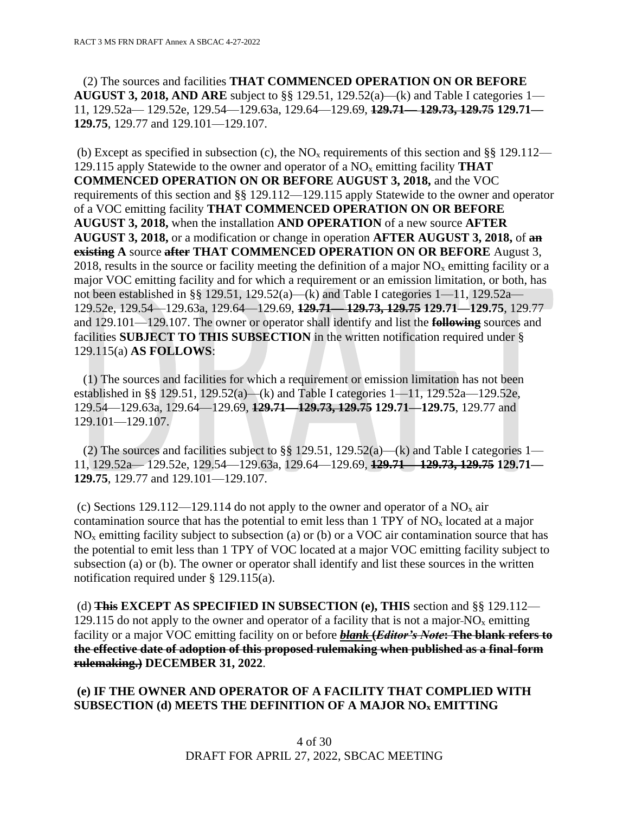(2) The sources and facilities **THAT COMMENCED OPERATION ON OR BEFORE AUGUST 3, 2018, AND ARE** subject to §§ 129.51, 129.52(a)—(k) and Table I categories 1— 11, 129.52a— 129.52e, 129.54—129.63a, 129.64—129.69, **129.71— 129.73, 129.75 129.71— 129.75**, 129.77 and 129.101—129.107.

(b) Except as specified in subsection (c), the  $NO<sub>x</sub>$  requirements of this section and §§ 129.112— 129.115 apply Statewide to the owner and operator of a NO<sup>x</sup> emitting facility **THAT COMMENCED OPERATION ON OR BEFORE AUGUST 3, 2018,** and the VOC requirements of this section and §§ 129.112—129.115 apply Statewide to the owner and operator of a VOC emitting facility **THAT COMMENCED OPERATION ON OR BEFORE AUGUST 3, 2018,** when the installation **AND OPERATION** of a new source **AFTER AUGUST 3, 2018,** or a modification or change in operation **AFTER AUGUST 3, 2018,** of **an existing A** source **after THAT COMMENCED OPERATION ON OR BEFORE** August 3, 2018, results in the source or facility meeting the definition of a major  $NO<sub>x</sub>$  emitting facility or a major VOC emitting facility and for which a requirement or an emission limitation, or both, has not been established in §§ 129.51, 129.52(a)—(k) and Table I categories  $1-11$ , 129.52a— 129.52e, 129.54—129.63a, 129.64—129.69, **129.71— 129.73, 129.75 129.71—129.75**, 129.77 and 129.101—129.107. The owner or operator shall identify and list the **following** sources and facilities **SUBJECT TO THIS SUBSECTION** in the written notification required under § 129.115(a) **AS FOLLOWS**:

 (1) The sources and facilities for which a requirement or emission limitation has not been established in §§ 129.51, 129.52(a)—(k) and Table I categories 1—11, 129.52a—129.52e, 129.54—129.63a, 129.64—129.69, **129.71—129.73, 129.75 129.71—129.75**, 129.77 and 129.101—129.107.

(2) The sources and facilities subject to §§ 129.51, 129.52(a)—(k) and Table I categories 1— 11, 129.52a— 129.52e, 129.54—129.63a, 129.64—129.69, **129.71— 129.73, 129.75 129.71— 129.75**, 129.77 and 129.101—129.107.

(c) Sections 129.112—129.114 do not apply to the owner and operator of a  $NO<sub>x</sub>$  air contamination source that has the potential to emit less than  $1$  TPY of NO<sub>x</sub> located at a major  $NO<sub>x</sub>$  emitting facility subject to subsection (a) or (b) or a VOC air contamination source that has the potential to emit less than 1 TPY of VOC located at a major VOC emitting facility subject to subsection (a) or (b). The owner or operator shall identify and list these sources in the written notification required under § 129.115(a).

(d) **This EXCEPT AS SPECIFIED IN SUBSECTION (e), THIS** section and §§ 129.112— 129.115 do not apply to the owner and operator of a facility that is not a major- $NO<sub>x</sub>$  emitting facility or a major VOC emitting facility on or before *blank* **(***Editor's Note***: The blank refers to the effective date of adoption of this proposed rulemaking when published as a final-form rulemaking.) DECEMBER 31, 2022**.

# **(e) IF THE OWNER AND OPERATOR OF A FACILITY THAT COMPLIED WITH SUBSECTION (d) MEETS THE DEFINITION OF A MAJOR NO<sup>x</sup> EMITTING**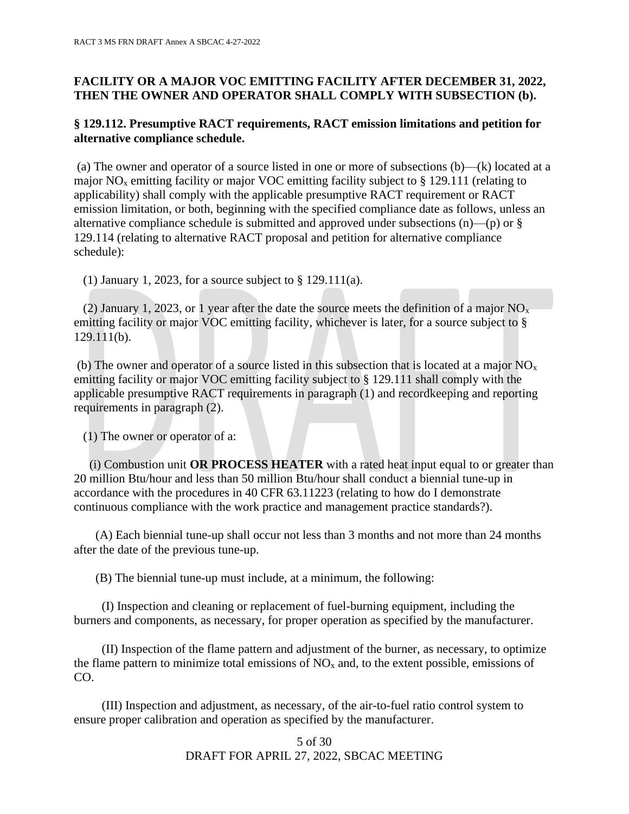# **FACILITY OR A MAJOR VOC EMITTING FACILITY AFTER DECEMBER 31, 2022, THEN THE OWNER AND OPERATOR SHALL COMPLY WITH SUBSECTION (b).**

# **§ 129.112. Presumptive RACT requirements, RACT emission limitations and petition for alternative compliance schedule.**

(a) The owner and operator of a source listed in one or more of subsections (b)—(k) located at a major  $NO<sub>x</sub>$  emitting facility or major VOC emitting facility subject to § 129.111 (relating to applicability) shall comply with the applicable presumptive RACT requirement or RACT emission limitation, or both, beginning with the specified compliance date as follows, unless an alternative compliance schedule is submitted and approved under subsections  $(n)$ — $(p)$  or § 129.114 (relating to alternative RACT proposal and petition for alternative compliance schedule):

(1) January 1, 2023, for a source subject to § 129.111(a).

(2) January 1, 2023, or 1 year after the date the source meets the definition of a major  $NO<sub>x</sub>$ emitting facility or major VOC emitting facility, whichever is later, for a source subject to § 129.111(b).

(b) The owner and operator of a source listed in this subsection that is located at a major  $NO<sub>x</sub>$ emitting facility or major VOC emitting facility subject to § 129.111 shall comply with the applicable presumptive RACT requirements in paragraph (1) and recordkeeping and reporting requirements in paragraph (2).

(1) The owner or operator of a:

 (i) Combustion unit **OR PROCESS HEATER** with a rated heat input equal to or greater than 20 million Btu/hour and less than 50 million Btu/hour shall conduct a biennial tune-up in accordance with the procedures in 40 CFR 63.11223 (relating to how do I demonstrate continuous compliance with the work practice and management practice standards?).

 (A) Each biennial tune-up shall occur not less than 3 months and not more than 24 months after the date of the previous tune-up.

(B) The biennial tune-up must include, at a minimum, the following:

 (I) Inspection and cleaning or replacement of fuel-burning equipment, including the burners and components, as necessary, for proper operation as specified by the manufacturer.

 (II) Inspection of the flame pattern and adjustment of the burner, as necessary, to optimize the flame pattern to minimize total emissions of  $NO<sub>x</sub>$  and, to the extent possible, emissions of CO.

 (III) Inspection and adjustment, as necessary, of the air-to-fuel ratio control system to ensure proper calibration and operation as specified by the manufacturer.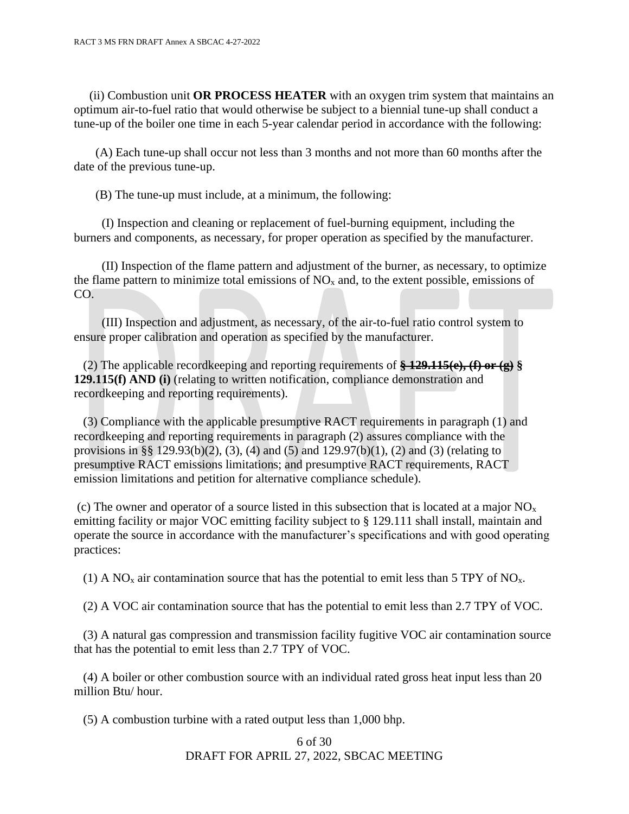(ii) Combustion unit **OR PROCESS HEATER** with an oxygen trim system that maintains an optimum air-to-fuel ratio that would otherwise be subject to a biennial tune-up shall conduct a tune-up of the boiler one time in each 5-year calendar period in accordance with the following:

 (A) Each tune-up shall occur not less than 3 months and not more than 60 months after the date of the previous tune-up.

(B) The tune-up must include, at a minimum, the following:

 (I) Inspection and cleaning or replacement of fuel-burning equipment, including the burners and components, as necessary, for proper operation as specified by the manufacturer.

 (II) Inspection of the flame pattern and adjustment of the burner, as necessary, to optimize the flame pattern to minimize total emissions of  $NO<sub>x</sub>$  and, to the extent possible, emissions of CO.

 (III) Inspection and adjustment, as necessary, of the air-to-fuel ratio control system to ensure proper calibration and operation as specified by the manufacturer.

 (2) The applicable recordkeeping and reporting requirements of **§ 129.115(e), (f) or (g) § 129.115(f) AND (i)** (relating to written notification, compliance demonstration and recordkeeping and reporting requirements).

 (3) Compliance with the applicable presumptive RACT requirements in paragraph (1) and recordkeeping and reporting requirements in paragraph (2) assures compliance with the provisions in §§ 129.93(b)(2), (3), (4) and (5) and 129.97(b)(1), (2) and (3) (relating to presumptive RACT emissions limitations; and presumptive RACT requirements, RACT emission limitations and petition for alternative compliance schedule).

(c) The owner and operator of a source listed in this subsection that is located at a major  $NO<sub>x</sub>$ emitting facility or major VOC emitting facility subject to § 129.111 shall install, maintain and operate the source in accordance with the manufacturer's specifications and with good operating practices:

(1) A  $NO<sub>x</sub>$  air contamination source that has the potential to emit less than 5 TPY of  $NO<sub>x</sub>$ .

(2) A VOC air contamination source that has the potential to emit less than 2.7 TPY of VOC.

 (3) A natural gas compression and transmission facility fugitive VOC air contamination source that has the potential to emit less than 2.7 TPY of VOC.

 (4) A boiler or other combustion source with an individual rated gross heat input less than 20 million Btu/ hour.

(5) A combustion turbine with a rated output less than 1,000 bhp.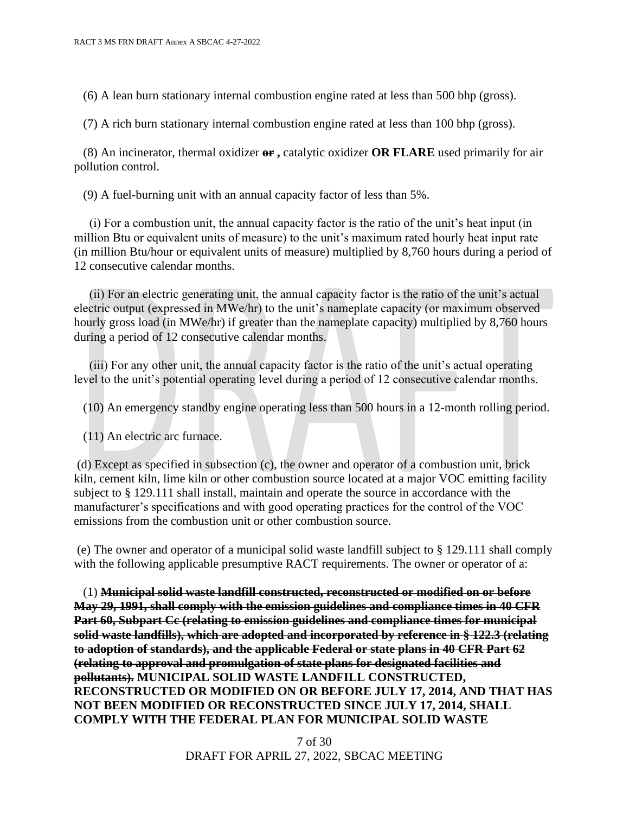(6) A lean burn stationary internal combustion engine rated at less than 500 bhp (gross).

(7) A rich burn stationary internal combustion engine rated at less than 100 bhp (gross).

 (8) An incinerator, thermal oxidizer **or ,** catalytic oxidizer **OR FLARE** used primarily for air pollution control.

(9) A fuel-burning unit with an annual capacity factor of less than 5%.

 (i) For a combustion unit, the annual capacity factor is the ratio of the unit's heat input (in million Btu or equivalent units of measure) to the unit's maximum rated hourly heat input rate (in million Btu/hour or equivalent units of measure) multiplied by 8,760 hours during a period of 12 consecutive calendar months.

 (ii) For an electric generating unit, the annual capacity factor is the ratio of the unit's actual electric output (expressed in MWe/hr) to the unit's nameplate capacity (or maximum observed hourly gross load (in MWe/hr) if greater than the nameplate capacity) multiplied by 8,760 hours during a period of 12 consecutive calendar months.

 (iii) For any other unit, the annual capacity factor is the ratio of the unit's actual operating level to the unit's potential operating level during a period of 12 consecutive calendar months.

(10) An emergency standby engine operating less than 500 hours in a 12-month rolling period.

(11) An electric arc furnace.

(d) Except as specified in subsection (c), the owner and operator of a combustion unit, brick kiln, cement kiln, lime kiln or other combustion source located at a major VOC emitting facility subject to § 129.111 shall install, maintain and operate the source in accordance with the manufacturer's specifications and with good operating practices for the control of the VOC emissions from the combustion unit or other combustion source.

(e) The owner and operator of a municipal solid waste landfill subject to § 129.111 shall comply with the following applicable presumptive RACT requirements. The owner or operator of a:

 (1) **Municipal solid waste landfill constructed, reconstructed or modified on or before May 29, 1991, shall comply with the emission guidelines and compliance times in 40 CFR Part 60, Subpart Cc (relating to emission guidelines and compliance times for municipal solid waste landfills), which are adopted and incorporated by reference in § 122.3 (relating to adoption of standards), and the applicable Federal or state plans in 40 CFR Part 62 (relating to approval and promulgation of state plans for designated facilities and pollutants). MUNICIPAL SOLID WASTE LANDFILL CONSTRUCTED, RECONSTRUCTED OR MODIFIED ON OR BEFORE JULY 17, 2014, AND THAT HAS NOT BEEN MODIFIED OR RECONSTRUCTED SINCE JULY 17, 2014, SHALL COMPLY WITH THE FEDERAL PLAN FOR MUNICIPAL SOLID WASTE**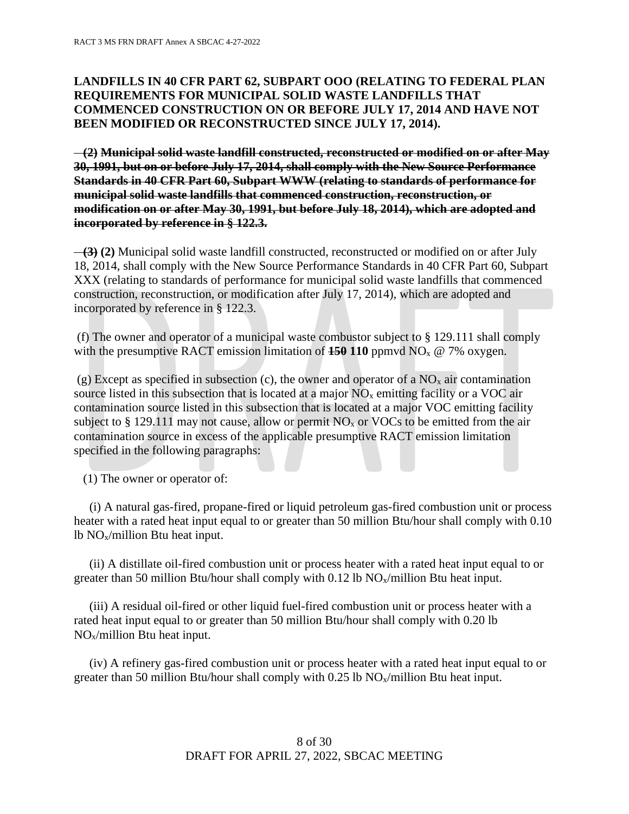# **LANDFILLS IN 40 CFR PART 62, SUBPART OOO (RELATING TO FEDERAL PLAN REQUIREMENTS FOR MUNICIPAL SOLID WASTE LANDFILLS THAT COMMENCED CONSTRUCTION ON OR BEFORE JULY 17, 2014 AND HAVE NOT BEEN MODIFIED OR RECONSTRUCTED SINCE JULY 17, 2014).**

 **(2) Municipal solid waste landfill constructed, reconstructed or modified on or after May 30, 1991, but on or before July 17, 2014, shall comply with the New Source Performance Standards in 40 CFR Part 60, Subpart WWW (relating to standards of performance for municipal solid waste landfills that commenced construction, reconstruction, or modification on or after May 30, 1991, but before July 18, 2014), which are adopted and incorporated by reference in § 122.3.**

 **(3) (2)** Municipal solid waste landfill constructed, reconstructed or modified on or after July 18, 2014, shall comply with the New Source Performance Standards in 40 CFR Part 60, Subpart XXX (relating to standards of performance for municipal solid waste landfills that commenced construction, reconstruction, or modification after July 17, 2014), which are adopted and incorporated by reference in § 122.3.

(f) The owner and operator of a municipal waste combustor subject to § 129.111 shall comply with the presumptive RACT emission limitation of  $150 \text{ 110}$  ppmvd NO<sub>x</sub> @ 7% oxygen.

(g) Except as specified in subsection (c), the owner and operator of a  $NO<sub>x</sub>$  air contamination source listed in this subsection that is located at a major  $NO<sub>x</sub>$  emitting facility or a VOC air contamination source listed in this subsection that is located at a major VOC emitting facility subject to  $\S 129.111$  may not cause, allow or permit NO<sub>x</sub> or VOCs to be emitted from the air contamination source in excess of the applicable presumptive RACT emission limitation specified in the following paragraphs:

(1) The owner or operator of:

 (i) A natural gas-fired, propane-fired or liquid petroleum gas-fired combustion unit or process heater with a rated heat input equal to or greater than 50 million Btu/hour shall comply with 0.10 lb NOx/million Btu heat input.

 (ii) A distillate oil-fired combustion unit or process heater with a rated heat input equal to or greater than 50 million Btu/hour shall comply with 0.12 lb  $NO_x/m$ illion Btu heat input.

 (iii) A residual oil-fired or other liquid fuel-fired combustion unit or process heater with a rated heat input equal to or greater than 50 million Btu/hour shall comply with 0.20 lb NOx/million Btu heat input.

 (iv) A refinery gas-fired combustion unit or process heater with a rated heat input equal to or greater than 50 million Btu/hour shall comply with 0.25 lb  $NO<sub>x</sub>/million$  Btu heat input.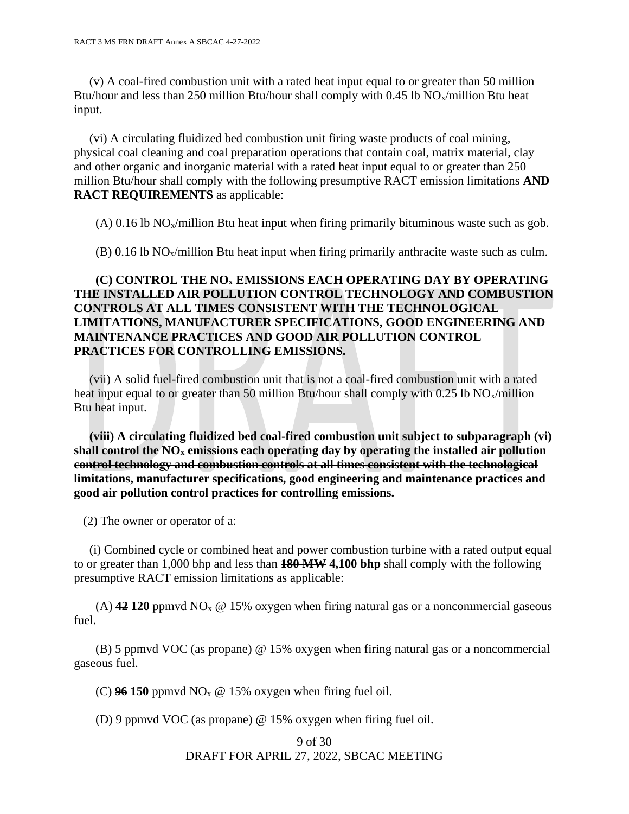(v) A coal-fired combustion unit with a rated heat input equal to or greater than 50 million Btu/hour and less than 250 million Btu/hour shall comply with 0.45 lb  $NO_x/m$ illion Btu heat input.

 (vi) A circulating fluidized bed combustion unit firing waste products of coal mining, physical coal cleaning and coal preparation operations that contain coal, matrix material, clay and other organic and inorganic material with a rated heat input equal to or greater than 250 million Btu/hour shall comply with the following presumptive RACT emission limitations **AND RACT REQUIREMENTS** as applicable:

(A)  $0.16$  lb NO<sub>x</sub>/million Btu heat input when firing primarily bituminous waste such as gob.

 $(B)$  0.16 lb NO<sub>x</sub>/million Btu heat input when firing primarily anthracite waste such as culm.

# **(C) CONTROL THE NO<sup>x</sup> EMISSIONS EACH OPERATING DAY BY OPERATING THE INSTALLED AIR POLLUTION CONTROL TECHNOLOGY AND COMBUSTION CONTROLS AT ALL TIMES CONSISTENT WITH THE TECHNOLOGICAL LIMITATIONS, MANUFACTURER SPECIFICATIONS, GOOD ENGINEERING AND MAINTENANCE PRACTICES AND GOOD AIR POLLUTION CONTROL PRACTICES FOR CONTROLLING EMISSIONS.**

 (vii) A solid fuel-fired combustion unit that is not a coal-fired combustion unit with a rated heat input equal to or greater than 50 million Btu/hour shall comply with 0.25 lb  $NO_x/m$ illion Btu heat input.

 **(viii) A circulating fluidized bed coal-fired combustion unit subject to subparagraph (vi) shall control the NO<sup>x</sup> emissions each operating day by operating the installed air pollution control technology and combustion controls at all times consistent with the technological limitations, manufacturer specifications, good engineering and maintenance practices and good air pollution control practices for controlling emissions.**

(2) The owner or operator of a:

 (i) Combined cycle or combined heat and power combustion turbine with a rated output equal to or greater than 1,000 bhp and less than **180 MW 4,100 bhp** shall comply with the following presumptive RACT emission limitations as applicable:

(A)  $42120$  ppmvd NO<sub>x</sub>  $\omega$  15% oxygen when firing natural gas or a noncommercial gaseous fuel.

 (B) 5 ppmvd VOC (as propane) @ 15% oxygen when firing natural gas or a noncommercial gaseous fuel.

(C)  $96 150$  ppmvd NO<sub>x</sub> @ 15% oxygen when firing fuel oil.

(D) 9 ppmvd VOC (as propane) @ 15% oxygen when firing fuel oil.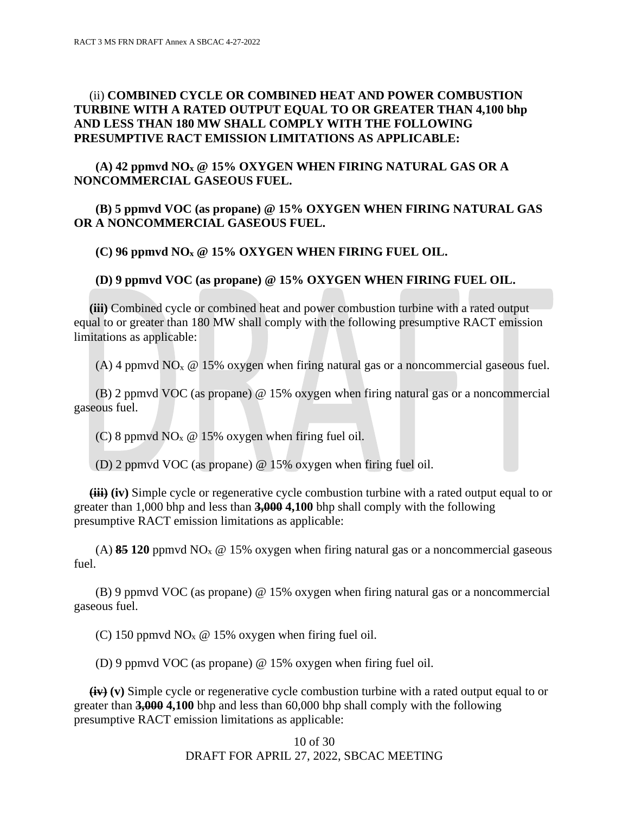# (ii) **COMBINED CYCLE OR COMBINED HEAT AND POWER COMBUSTION TURBINE WITH A RATED OUTPUT EQUAL TO OR GREATER THAN 4,100 bhp AND LESS THAN 180 MW SHALL COMPLY WITH THE FOLLOWING PRESUMPTIVE RACT EMISSION LIMITATIONS AS APPLICABLE:**

# **(A) 42 ppmvd NO<sup>x</sup> @ 15% OXYGEN WHEN FIRING NATURAL GAS OR A NONCOMMERCIAL GASEOUS FUEL.**

### **(B) 5 ppmvd VOC (as propane) @ 15% OXYGEN WHEN FIRING NATURAL GAS OR A NONCOMMERCIAL GASEOUS FUEL.**

#### **(C) 96 ppmvd NO<sup>x</sup> @ 15% OXYGEN WHEN FIRING FUEL OIL.**

#### **(D) 9 ppmvd VOC (as propane) @ 15% OXYGEN WHEN FIRING FUEL OIL.**

 **(iii)** Combined cycle or combined heat and power combustion turbine with a rated output equal to or greater than 180 MW shall comply with the following presumptive RACT emission limitations as applicable:

(A) 4 ppmvd  $NO<sub>x</sub>$  @ 15% oxygen when firing natural gas or a noncommercial gaseous fuel.

 (B) 2 ppmvd VOC (as propane) @ 15% oxygen when firing natural gas or a noncommercial gaseous fuel.

(C) 8 ppmvd  $NO<sub>x</sub>$  @ 15% oxygen when firing fuel oil.

(D) 2 ppmvd VOC (as propane) @ 15% oxygen when firing fuel oil.

 **(iii) (iv)** Simple cycle or regenerative cycle combustion turbine with a rated output equal to or greater than 1,000 bhp and less than **3,000 4,100** bhp shall comply with the following presumptive RACT emission limitations as applicable:

(A) **85 120** ppmvd NO<sub>x</sub>  $\omega$  15% oxygen when firing natural gas or a noncommercial gaseous fuel.

 (B) 9 ppmvd VOC (as propane) @ 15% oxygen when firing natural gas or a noncommercial gaseous fuel.

(C) 150 ppmvd NO<sub>x</sub>  $\omega$  15% oxygen when firing fuel oil.

(D) 9 ppmvd VOC (as propane) @ 15% oxygen when firing fuel oil.

 **(iv) (v)** Simple cycle or regenerative cycle combustion turbine with a rated output equal to or greater than **3,000 4,100** bhp and less than 60,000 bhp shall comply with the following presumptive RACT emission limitations as applicable: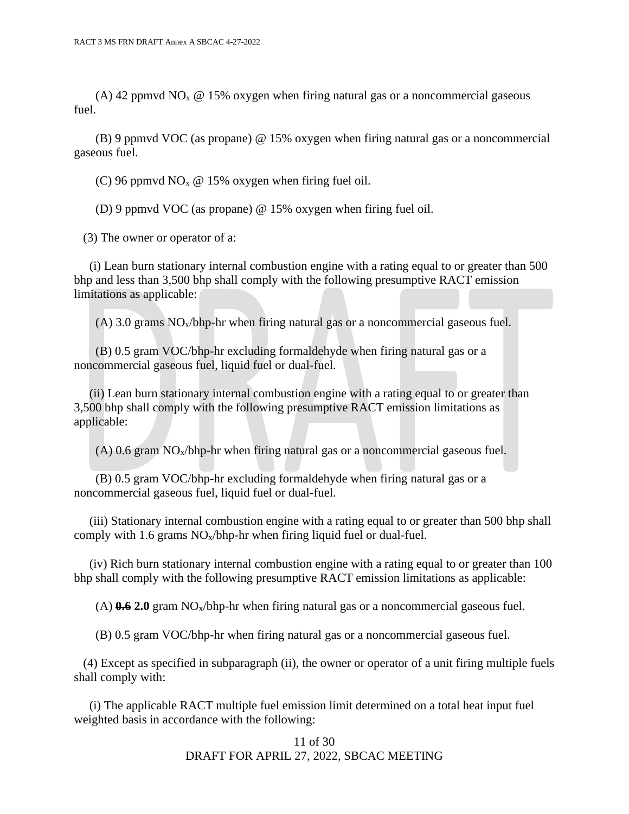(A) 42 ppmvd NO<sub>x</sub>  $\omega$  15% oxygen when firing natural gas or a noncommercial gaseous fuel.

 (B) 9 ppmvd VOC (as propane) @ 15% oxygen when firing natural gas or a noncommercial gaseous fuel.

(C) 96 ppmvd NO<sub>x</sub> @ 15% oxygen when firing fuel oil.

(D) 9 ppmvd VOC (as propane) @ 15% oxygen when firing fuel oil.

(3) The owner or operator of a:

 (i) Lean burn stationary internal combustion engine with a rating equal to or greater than 500 bhp and less than 3,500 bhp shall comply with the following presumptive RACT emission limitations as applicable:

(A) 3.0 grams  $NO<sub>x</sub>/b$ hp-hr when firing natural gas or a noncommercial gaseous fuel.

 (B) 0.5 gram VOC/bhp-hr excluding formaldehyde when firing natural gas or a noncommercial gaseous fuel, liquid fuel or dual-fuel.

 (ii) Lean burn stationary internal combustion engine with a rating equal to or greater than 3,500 bhp shall comply with the following presumptive RACT emission limitations as applicable:

 $(A)$  0.6 gram NO<sub>x</sub>/bhp-hr when firing natural gas or a noncommercial gaseous fuel.

 (B) 0.5 gram VOC/bhp-hr excluding formaldehyde when firing natural gas or a noncommercial gaseous fuel, liquid fuel or dual-fuel.

 (iii) Stationary internal combustion engine with a rating equal to or greater than 500 bhp shall comply with 1.6 grams  $NO<sub>x</sub>/b$ hp-hr when firing liquid fuel or dual-fuel.

 (iv) Rich burn stationary internal combustion engine with a rating equal to or greater than 100 bhp shall comply with the following presumptive RACT emission limitations as applicable:

(A)  $0.62.0$  gram NO<sub>x</sub>/bhp-hr when firing natural gas or a noncommercial gaseous fuel.

(B) 0.5 gram VOC/bhp-hr when firing natural gas or a noncommercial gaseous fuel.

 (4) Except as specified in subparagraph (ii), the owner or operator of a unit firing multiple fuels shall comply with:

 (i) The applicable RACT multiple fuel emission limit determined on a total heat input fuel weighted basis in accordance with the following: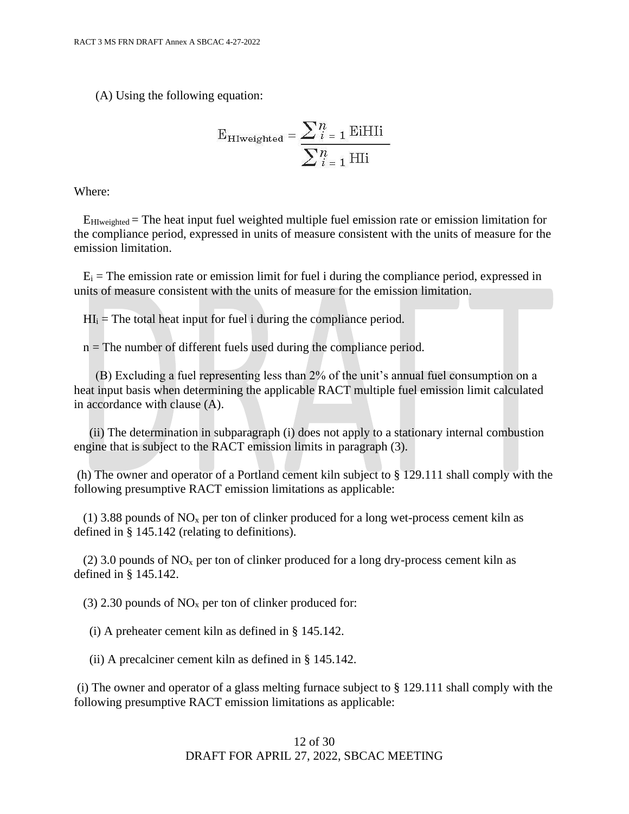(A) Using the following equation:

$$
E_{HIweighted} = \frac{\sum_{i=1}^{n} EiHIi}{\sum_{i=1}^{n} HIi}
$$

Where:

 EHIweighted = The heat input fuel weighted multiple fuel emission rate or emission limitation for the compliance period, expressed in units of measure consistent with the units of measure for the emission limitation.

 $E_i$  = The emission rate or emission limit for fuel i during the compliance period, expressed in units of measure consistent with the units of measure for the emission limitation.

 $HI_i$  = The total heat input for fuel i during the compliance period.

 $n =$ The number of different fuels used during the compliance period.

 (B) Excluding a fuel representing less than 2% of the unit's annual fuel consumption on a heat input basis when determining the applicable RACT multiple fuel emission limit calculated in accordance with clause (A).

 (ii) The determination in subparagraph (i) does not apply to a stationary internal combustion engine that is subject to the RACT emission limits in paragraph (3).

(h) The owner and operator of a Portland cement kiln subject to § 129.111 shall comply with the following presumptive RACT emission limitations as applicable:

(1) 3.88 pounds of  $NO<sub>x</sub>$  per ton of clinker produced for a long wet-process cement kiln as defined in § 145.142 (relating to definitions).

(2) 3.0 pounds of  $NO<sub>x</sub>$  per ton of clinker produced for a long dry-process cement kiln as defined in § 145.142.

(3) 2.30 pounds of  $NO<sub>x</sub>$  per ton of clinker produced for:

(i) A preheater cement kiln as defined in § 145.142.

(ii) A precalciner cement kiln as defined in § 145.142.

(i) The owner and operator of a glass melting furnace subject to § 129.111 shall comply with the following presumptive RACT emission limitations as applicable: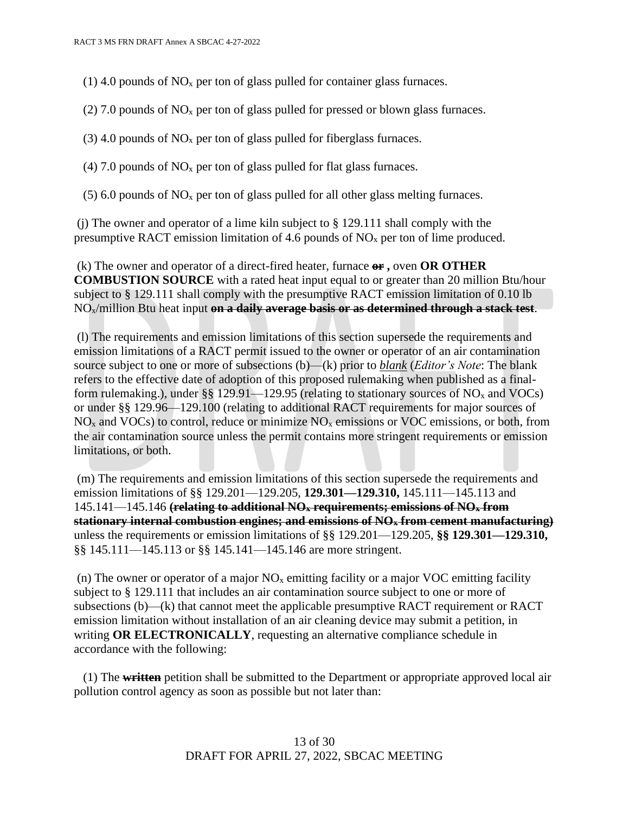(1) 4.0 pounds of  $NO<sub>x</sub>$  per ton of glass pulled for container glass furnaces.

(2) 7.0 pounds of  $NO<sub>x</sub>$  per ton of glass pulled for pressed or blown glass furnaces.

(3) 4.0 pounds of  $NO<sub>x</sub>$  per ton of glass pulled for fiberglass furnaces.

(4) 7.0 pounds of  $NO<sub>x</sub>$  per ton of glass pulled for flat glass furnaces.

 $(5)$  6.0 pounds of NO<sub>x</sub> per ton of glass pulled for all other glass melting furnaces.

(i) The owner and operator of a lime kiln subject to  $\S 129.111$  shall comply with the presumptive RACT emission limitation of 4.6 pounds of  $NO<sub>x</sub>$  per ton of lime produced.

(k) The owner and operator of a direct-fired heater, furnace **or ,** oven **OR OTHER COMBUSTION SOURCE** with a rated heat input equal to or greater than 20 million Btu/hour subject to § 129.111 shall comply with the presumptive RACT emission limitation of 0.10 lb NOx/million Btu heat input **on a daily average basis or as determined through a stack test**.

(l) The requirements and emission limitations of this section supersede the requirements and emission limitations of a RACT permit issued to the owner or operator of an air contamination source subject to one or more of subsections (b)—(k) prior to *blank* (*Editor's Note*: The blank refers to the effective date of adoption of this proposed rulemaking when published as a finalform rulemaking.), under §§ 129.91—129.95 (relating to stationary sources of  $NO<sub>x</sub>$  and VOCs) or under §§ 129.96—129.100 (relating to additional RACT requirements for major sources of  $NO<sub>x</sub>$  and VOCs) to control, reduce or minimize  $NO<sub>x</sub>$  emissions or VOC emissions, or both, from the air contamination source unless the permit contains more stringent requirements or emission limitations, or both.

(m) The requirements and emission limitations of this section supersede the requirements and emission limitations of §§ 129.201—129.205, **129.301—129.310,** 145.111—145.113 and 145.141—145.146 **(relating to additional NO<sup>x</sup> requirements; emissions of NO<sup>x</sup> from stationary internal combustion engines; and emissions of NO<sup>x</sup> from cement manufacturing)** unless the requirements or emission limitations of §§ 129.201—129.205, **§§ 129.301—129.310,**  §§ 145.111—145.113 or §§ 145.141—145.146 are more stringent.

(n) The owner or operator of a major  $NO<sub>x</sub>$  emitting facility or a major VOC emitting facility subject to § 129.111 that includes an air contamination source subject to one or more of subsections (b)—(k) that cannot meet the applicable presumptive RACT requirement or RACT emission limitation without installation of an air cleaning device may submit a petition, in writing **OR ELECTRONICALLY**, requesting an alternative compliance schedule in accordance with the following:

 (1) The **written** petition shall be submitted to the Department or appropriate approved local air pollution control agency as soon as possible but not later than: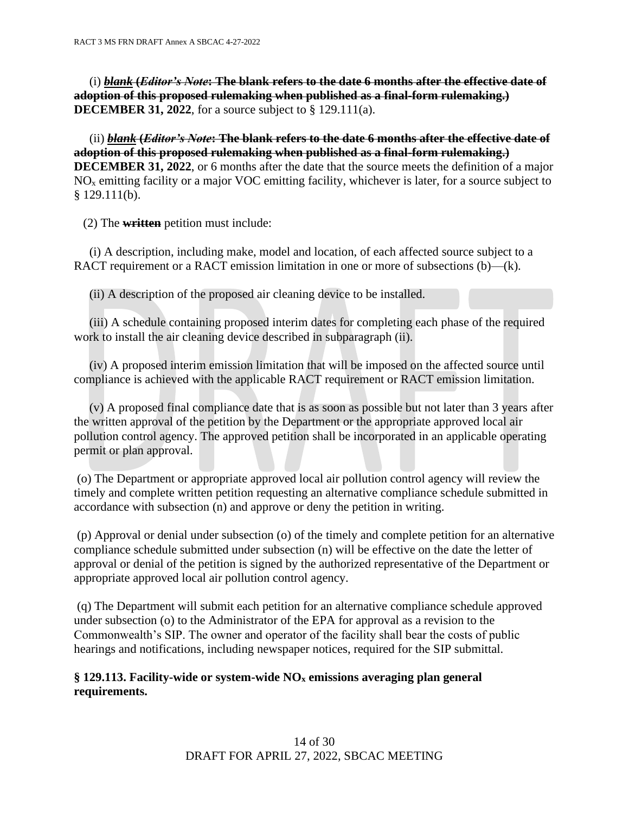(i) *blank* **(***Editor's Note***: The blank refers to the date 6 months after the effective date of adoption of this proposed rulemaking when published as a final-form rulemaking.) DECEMBER 31, 2022**, for a source subject to § 129.111(a).

 (ii) *blank* **(***Editor's Note***: The blank refers to the date 6 months after the effective date of adoption of this proposed rulemaking when published as a final-form rulemaking.) DECEMBER 31, 2022**, or 6 months after the date that the source meets the definition of a major  $NO<sub>x</sub>$  emitting facility or a major VOC emitting facility, whichever is later, for a source subject to  $§$  129.111(b).

(2) The **written** petition must include:

 (i) A description, including make, model and location, of each affected source subject to a RACT requirement or a RACT emission limitation in one or more of subsections (b)—(k).

(ii) A description of the proposed air cleaning device to be installed.

 (iii) A schedule containing proposed interim dates for completing each phase of the required work to install the air cleaning device described in subparagraph (ii).

 (iv) A proposed interim emission limitation that will be imposed on the affected source until compliance is achieved with the applicable RACT requirement or RACT emission limitation.

 (v) A proposed final compliance date that is as soon as possible but not later than 3 years after the written approval of the petition by the Department or the appropriate approved local air pollution control agency. The approved petition shall be incorporated in an applicable operating permit or plan approval.

(o) The Department or appropriate approved local air pollution control agency will review the timely and complete written petition requesting an alternative compliance schedule submitted in accordance with subsection (n) and approve or deny the petition in writing.

(p) Approval or denial under subsection (o) of the timely and complete petition for an alternative compliance schedule submitted under subsection (n) will be effective on the date the letter of approval or denial of the petition is signed by the authorized representative of the Department or appropriate approved local air pollution control agency.

(q) The Department will submit each petition for an alternative compliance schedule approved under subsection (o) to the Administrator of the EPA for approval as a revision to the Commonwealth's SIP. The owner and operator of the facility shall bear the costs of public hearings and notifications, including newspaper notices, required for the SIP submittal.

### **§ 129.113. Facility-wide or system-wide NO<sup>x</sup> emissions averaging plan general requirements.**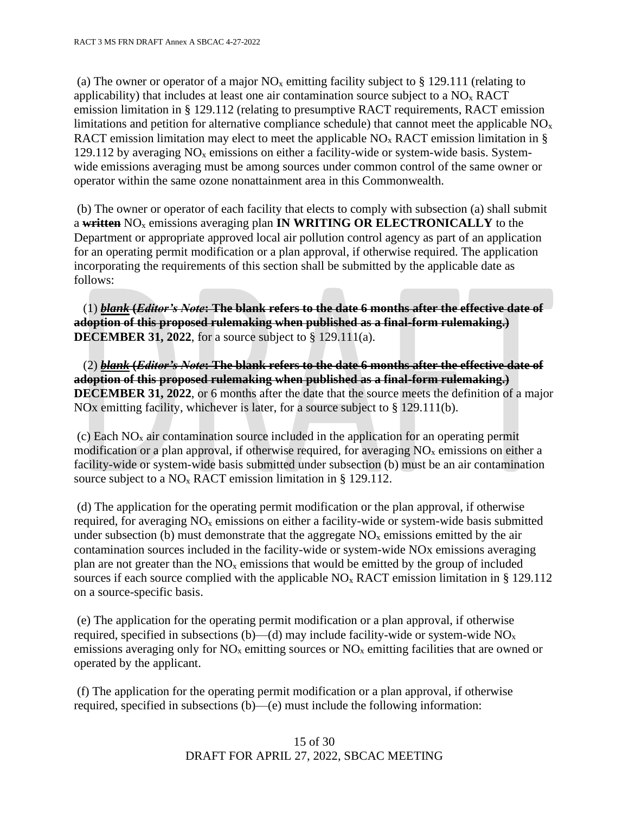(a) The owner or operator of a major  $NO<sub>x</sub>$  emitting facility subject to § 129.111 (relating to applicability) that includes at least one air contamination source subject to a  $NO<sub>x</sub> RACT$ emission limitation in § 129.112 (relating to presumptive RACT requirements, RACT emission limitations and petition for alternative compliance schedule) that cannot meet the applicable  $NO<sub>x</sub>$ RACT emission limitation may elect to meet the applicable  $NO<sub>x</sub> RACT$  emission limitation in § 129.112 by averaging  $NO<sub>x</sub>$  emissions on either a facility-wide or system-wide basis. Systemwide emissions averaging must be among sources under common control of the same owner or operator within the same ozone nonattainment area in this Commonwealth.

(b) The owner or operator of each facility that elects to comply with subsection (a) shall submit a **written** NO<sup>x</sup> emissions averaging plan **IN WRITING OR ELECTRONICALLY** to the Department or appropriate approved local air pollution control agency as part of an application for an operating permit modification or a plan approval, if otherwise required. The application incorporating the requirements of this section shall be submitted by the applicable date as follows:

 (1) *blank* **(***Editor's Note***: The blank refers to the date 6 months after the effective date of adoption of this proposed rulemaking when published as a final-form rulemaking.) DECEMBER 31, 2022**, for a source subject to § 129.111(a).

 (2) *blank* **(***Editor's Note***: The blank refers to the date 6 months after the effective date of adoption of this proposed rulemaking when published as a final-form rulemaking.) DECEMBER 31, 2022**, or 6 months after the date that the source meets the definition of a major NOx emitting facility, whichever is later, for a source subject to § 129.111(b).

(c) Each  $NO<sub>x</sub>$  air contamination source included in the application for an operating permit modification or a plan approval, if otherwise required, for averaging NO<sup>x</sup> emissions on either a facility-wide or system-wide basis submitted under subsection (b) must be an air contamination source subject to a  $NO<sub>x</sub>$  RACT emission limitation in § 129.112.

(d) The application for the operating permit modification or the plan approval, if otherwise required, for averaging  $NO<sub>x</sub>$  emissions on either a facility-wide or system-wide basis submitted under subsection (b) must demonstrate that the aggregate  $NO<sub>x</sub>$  emissions emitted by the air contamination sources included in the facility-wide or system-wide NOx emissions averaging plan are not greater than the  $NO<sub>x</sub>$  emissions that would be emitted by the group of included sources if each source complied with the applicable  $NO<sub>x</sub> RACT$  emission limitation in § 129.112 on a source-specific basis.

(e) The application for the operating permit modification or a plan approval, if otherwise required, specified in subsections (b)—(d) may include facility-wide or system-wide  $NO<sub>x</sub>$ emissions averaging only for  $NO<sub>x</sub>$  emitting sources or  $NO<sub>x</sub>$  emitting facilities that are owned or operated by the applicant.

(f) The application for the operating permit modification or a plan approval, if otherwise required, specified in subsections (b)—(e) must include the following information: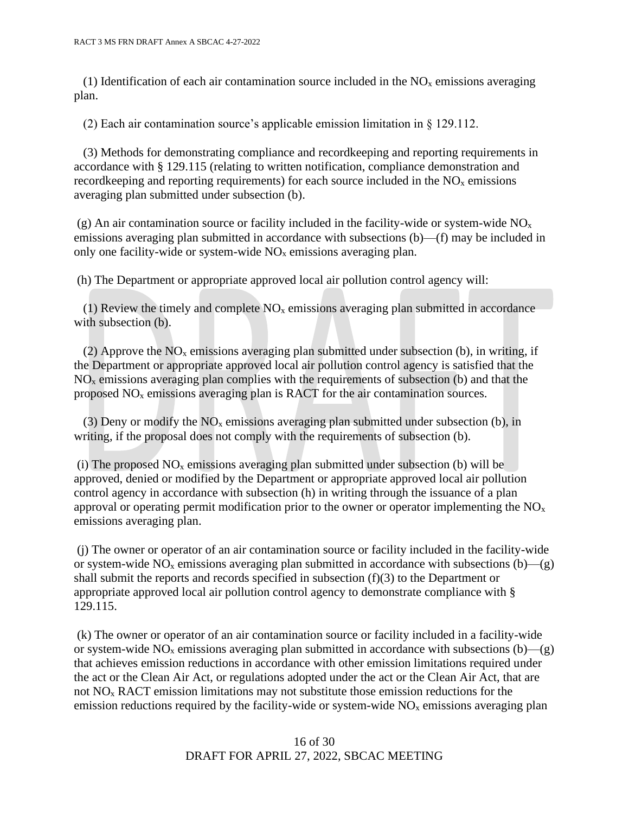(1) Identification of each air contamination source included in the  $NO<sub>x</sub>$  emissions averaging plan.

(2) Each air contamination source's applicable emission limitation in § 129.112.

 (3) Methods for demonstrating compliance and recordkeeping and reporting requirements in accordance with § 129.115 (relating to written notification, compliance demonstration and record keeping and reporting requirements) for each source included in the  $NO<sub>x</sub>$  emissions averaging plan submitted under subsection (b).

(g) An air contamination source or facility included in the facility-wide or system-wide  $NO<sub>x</sub>$ emissions averaging plan submitted in accordance with subsections (b)—(f) may be included in only one facility-wide or system-wide  $NO<sub>x</sub>$  emissions averaging plan.

(h) The Department or appropriate approved local air pollution control agency will:

(1) Review the timely and complete  $NO<sub>x</sub>$  emissions averaging plan submitted in accordance with subsection (b).

(2) Approve the  $NO<sub>x</sub>$  emissions averaging plan submitted under subsection (b), in writing, if the Department or appropriate approved local air pollution control agency is satisfied that the  $NO<sub>x</sub>$  emissions averaging plan complies with the requirements of subsection (b) and that the proposed  $NO<sub>x</sub>$  emissions averaging plan is RACT for the air contamination sources.

(3) Deny or modify the  $NO<sub>x</sub>$  emissions averaging plan submitted under subsection (b), in writing, if the proposal does not comply with the requirements of subsection (b).

(i) The proposed  $NO<sub>x</sub>$  emissions averaging plan submitted under subsection (b) will be approved, denied or modified by the Department or appropriate approved local air pollution control agency in accordance with subsection (h) in writing through the issuance of a plan approval or operating permit modification prior to the owner or operator implementing the  $NO<sub>x</sub>$ emissions averaging plan.

(j) The owner or operator of an air contamination source or facility included in the facility-wide or system-wide  $NO_x$  emissions averaging plan submitted in accordance with subsections (b)—(g) shall submit the reports and records specified in subsection (f)(3) to the Department or appropriate approved local air pollution control agency to demonstrate compliance with § 129.115.

(k) The owner or operator of an air contamination source or facility included in a facility-wide or system-wide  $NO_x$  emissions averaging plan submitted in accordance with subsections (b)—(g) that achieves emission reductions in accordance with other emission limitations required under the act or the Clean Air Act, or regulations adopted under the act or the Clean Air Act, that are not  $NO<sub>x</sub> RACT$  emission limitations may not substitute those emission reductions for the emission reductions required by the facility-wide or system-wide  $NO<sub>x</sub>$  emissions averaging plan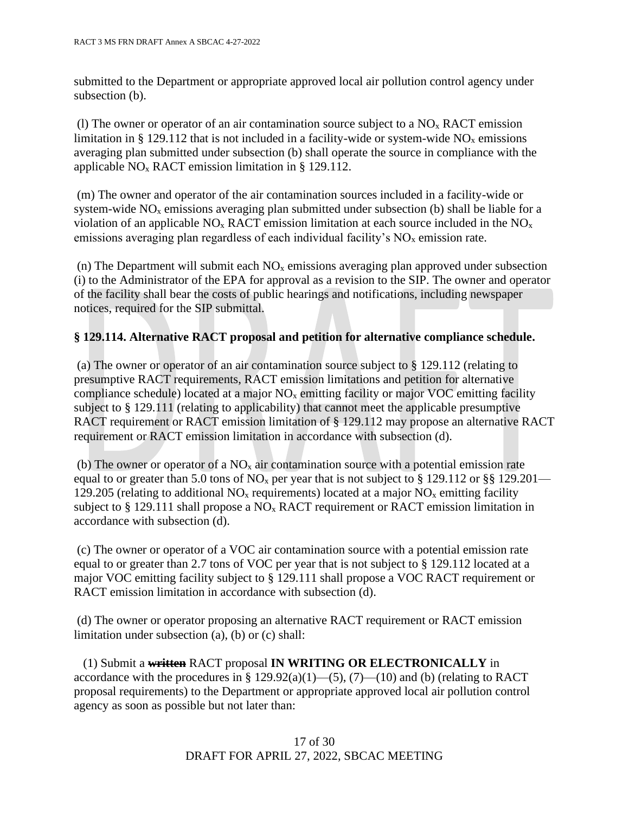submitted to the Department or appropriate approved local air pollution control agency under subsection (b).

(l) The owner or operator of an air contamination source subject to a  $NO<sub>x</sub> RACT$  emission limitation in § 129.112 that is not included in a facility-wide or system-wide  $NO<sub>x</sub>$  emissions averaging plan submitted under subsection (b) shall operate the source in compliance with the applicable  $NO<sub>x</sub> RACT$  emission limitation in § 129.112.

(m) The owner and operator of the air contamination sources included in a facility-wide or system-wide  $NO<sub>x</sub>$  emissions averaging plan submitted under subsection (b) shall be liable for a violation of an applicable  $NO<sub>x</sub> RACT$  emission limitation at each source included in the  $NO<sub>x</sub>$ emissions averaging plan regardless of each individual facility's  $NO<sub>x</sub>$  emission rate.

(n) The Department will submit each  $NO<sub>x</sub>$  emissions averaging plan approved under subsection (i) to the Administrator of the EPA for approval as a revision to the SIP. The owner and operator of the facility shall bear the costs of public hearings and notifications, including newspaper notices, required for the SIP submittal.

# **§ 129.114. Alternative RACT proposal and petition for alternative compliance schedule.**

(a) The owner or operator of an air contamination source subject to § 129.112 (relating to presumptive RACT requirements, RACT emission limitations and petition for alternative compliance schedule) located at a major  $NO<sub>x</sub>$  emitting facility or major VOC emitting facility subject to § 129.111 (relating to applicability) that cannot meet the applicable presumptive RACT requirement or RACT emission limitation of § 129.112 may propose an alternative RACT requirement or RACT emission limitation in accordance with subsection (d).

(b) The owner or operator of a  $NO<sub>x</sub>$  air contamination source with a potential emission rate equal to or greater than 5.0 tons of NO<sub>x</sub> per year that is not subject to § 129.112 or §§ 129.201— 129.205 (relating to additional  $NO<sub>x</sub>$  requirements) located at a major  $NO<sub>x</sub>$  emitting facility subject to  $\S$  129.111 shall propose a NO<sub>x</sub> RACT requirement or RACT emission limitation in accordance with subsection (d).

(c) The owner or operator of a VOC air contamination source with a potential emission rate equal to or greater than 2.7 tons of VOC per year that is not subject to § 129.112 located at a major VOC emitting facility subject to § 129.111 shall propose a VOC RACT requirement or RACT emission limitation in accordance with subsection (d).

(d) The owner or operator proposing an alternative RACT requirement or RACT emission limitation under subsection (a), (b) or (c) shall:

 (1) Submit a **written** RACT proposal **IN WRITING OR ELECTRONICALLY** in accordance with the procedures in §  $129.92(a)(1)$ —(5), (7)—(10) and (b) (relating to RACT proposal requirements) to the Department or appropriate approved local air pollution control agency as soon as possible but not later than: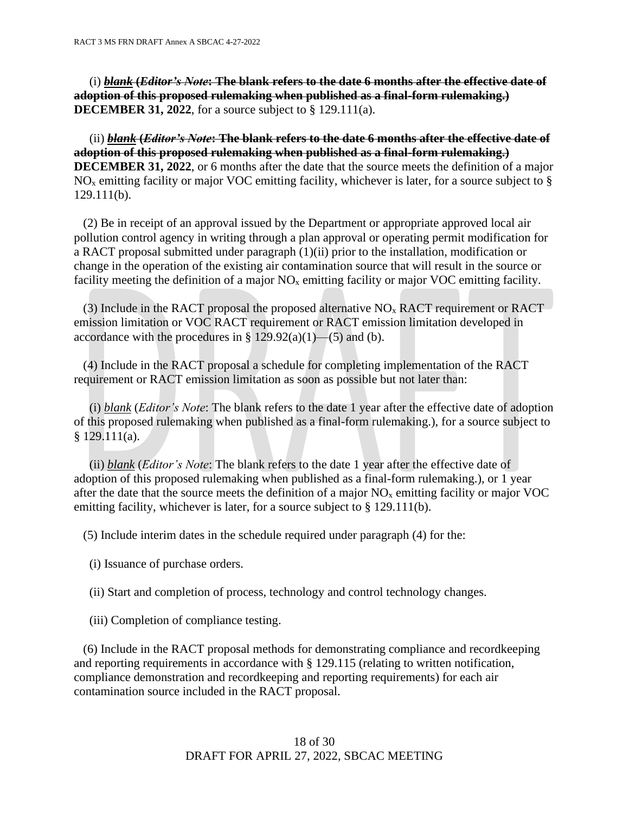(i) *blank* **(***Editor's Note***: The blank refers to the date 6 months after the effective date of adoption of this proposed rulemaking when published as a final-form rulemaking.) DECEMBER 31, 2022**, for a source subject to § 129.111(a).

 (ii) *blank* **(***Editor's Note***: The blank refers to the date 6 months after the effective date of adoption of this proposed rulemaking when published as a final-form rulemaking.) DECEMBER 31, 2022**, or 6 months after the date that the source meets the definition of a major  $NO<sub>x</sub>$  emitting facility or major VOC emitting facility, whichever is later, for a source subject to § 129.111(b).

 (2) Be in receipt of an approval issued by the Department or appropriate approved local air pollution control agency in writing through a plan approval or operating permit modification for a RACT proposal submitted under paragraph (1)(ii) prior to the installation, modification or change in the operation of the existing air contamination source that will result in the source or facility meeting the definition of a major  $NO<sub>x</sub>$  emitting facility or major VOC emitting facility.

(3) Include in the RACT proposal the proposed alternative  $NO<sub>x</sub>$  RACT requirement or RACT emission limitation or VOC RACT requirement or RACT emission limitation developed in accordance with the procedures in §  $129.92(a)(1)$ —(5) and (b).

 (4) Include in the RACT proposal a schedule for completing implementation of the RACT requirement or RACT emission limitation as soon as possible but not later than:

 (i) *blank* (*Editor's Note*: The blank refers to the date 1 year after the effective date of adoption of this proposed rulemaking when published as a final-form rulemaking.), for a source subject to  $§ 129.111(a).$ 

 (ii) *blank* (*Editor's Note*: The blank refers to the date 1 year after the effective date of adoption of this proposed rulemaking when published as a final-form rulemaking.), or 1 year after the date that the source meets the definition of a major  $NO<sub>x</sub>$  emitting facility or major  $VOC$ emitting facility, whichever is later, for a source subject to § 129.111(b).

(5) Include interim dates in the schedule required under paragraph (4) for the:

- (i) Issuance of purchase orders.
- (ii) Start and completion of process, technology and control technology changes.
- (iii) Completion of compliance testing.

 (6) Include in the RACT proposal methods for demonstrating compliance and recordkeeping and reporting requirements in accordance with § 129.115 (relating to written notification, compliance demonstration and recordkeeping and reporting requirements) for each air contamination source included in the RACT proposal.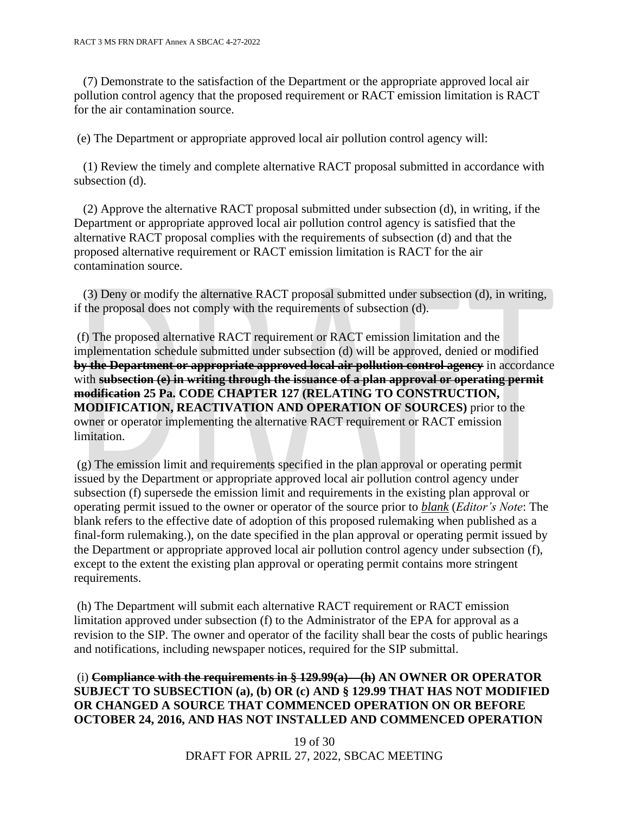(7) Demonstrate to the satisfaction of the Department or the appropriate approved local air pollution control agency that the proposed requirement or RACT emission limitation is RACT for the air contamination source.

(e) The Department or appropriate approved local air pollution control agency will:

 (1) Review the timely and complete alternative RACT proposal submitted in accordance with subsection (d).

 (2) Approve the alternative RACT proposal submitted under subsection (d), in writing, if the Department or appropriate approved local air pollution control agency is satisfied that the alternative RACT proposal complies with the requirements of subsection (d) and that the proposed alternative requirement or RACT emission limitation is RACT for the air contamination source.

 (3) Deny or modify the alternative RACT proposal submitted under subsection (d), in writing, if the proposal does not comply with the requirements of subsection (d).

(f) The proposed alternative RACT requirement or RACT emission limitation and the implementation schedule submitted under subsection (d) will be approved, denied or modified **by the Department or appropriate approved local air pollution control agency** in accordance with **subsection (e) in writing through the issuance of a plan approval or operating permit modification 25 Pa. CODE CHAPTER 127 (RELATING TO CONSTRUCTION, MODIFICATION, REACTIVATION AND OPERATION OF SOURCES)** prior to the owner or operator implementing the alternative RACT requirement or RACT emission limitation.

(g) The emission limit and requirements specified in the plan approval or operating permit issued by the Department or appropriate approved local air pollution control agency under subsection (f) supersede the emission limit and requirements in the existing plan approval or operating permit issued to the owner or operator of the source prior to *blank* (*Editor's Note*: The blank refers to the effective date of adoption of this proposed rulemaking when published as a final-form rulemaking.), on the date specified in the plan approval or operating permit issued by the Department or appropriate approved local air pollution control agency under subsection (f), except to the extent the existing plan approval or operating permit contains more stringent requirements.

(h) The Department will submit each alternative RACT requirement or RACT emission limitation approved under subsection (f) to the Administrator of the EPA for approval as a revision to the SIP. The owner and operator of the facility shall bear the costs of public hearings and notifications, including newspaper notices, required for the SIP submittal.

## (i) **Compliance with the requirements in § 129.99(a)—(h) AN OWNER OR OPERATOR SUBJECT TO SUBSECTION (a), (b) OR (c) AND § 129.99 THAT HAS NOT MODIFIED OR CHANGED A SOURCE THAT COMMENCED OPERATION ON OR BEFORE OCTOBER 24, 2016, AND HAS NOT INSTALLED AND COMMENCED OPERATION**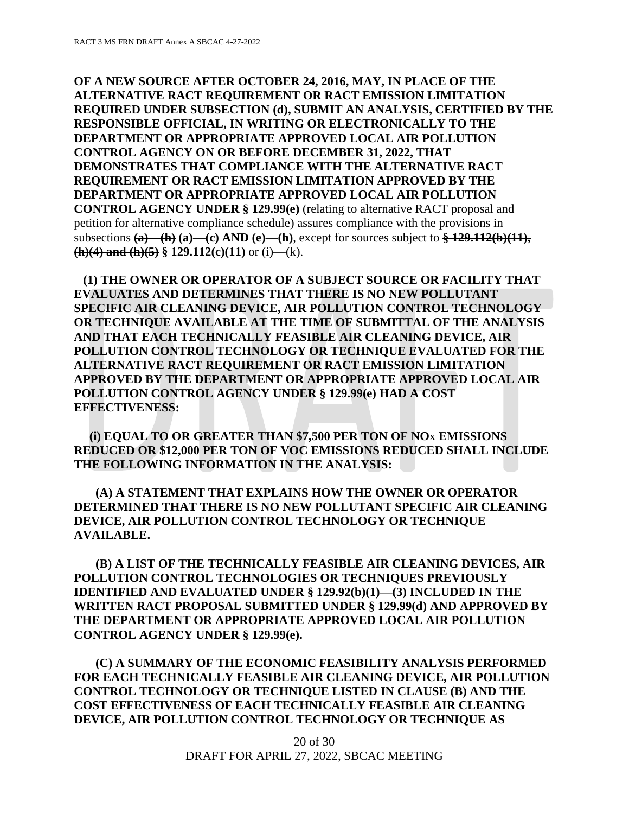**OF A NEW SOURCE AFTER OCTOBER 24, 2016, MAY, IN PLACE OF THE ALTERNATIVE RACT REQUIREMENT OR RACT EMISSION LIMITATION REQUIRED UNDER SUBSECTION (d), SUBMIT AN ANALYSIS, CERTIFIED BY THE RESPONSIBLE OFFICIAL, IN WRITING OR ELECTRONICALLY TO THE DEPARTMENT OR APPROPRIATE APPROVED LOCAL AIR POLLUTION CONTROL AGENCY ON OR BEFORE DECEMBER 31, 2022, THAT DEMONSTRATES THAT COMPLIANCE WITH THE ALTERNATIVE RACT REQUIREMENT OR RACT EMISSION LIMITATION APPROVED BY THE DEPARTMENT OR APPROPRIATE APPROVED LOCAL AIR POLLUTION CONTROL AGENCY UNDER § 129.99(e)** (relating to alternative RACT proposal and petition for alternative compliance schedule) assures compliance with the provisions in subsections **(a)—(h) (a)—(c) AND (e)—(h)**, except for sources subject to **§ 129.112(b)(11), (h)(4) and (h)(5)** § 129.112(c)(11) or (i)—(k).

 **(1) THE OWNER OR OPERATOR OF A SUBJECT SOURCE OR FACILITY THAT EVALUATES AND DETERMINES THAT THERE IS NO NEW POLLUTANT SPECIFIC AIR CLEANING DEVICE, AIR POLLUTION CONTROL TECHNOLOGY OR TECHNIQUE AVAILABLE AT THE TIME OF SUBMITTAL OF THE ANALYSIS AND THAT EACH TECHNICALLY FEASIBLE AIR CLEANING DEVICE, AIR POLLUTION CONTROL TECHNOLOGY OR TECHNIQUE EVALUATED FOR THE ALTERNATIVE RACT REQUIREMENT OR RACT EMISSION LIMITATION APPROVED BY THE DEPARTMENT OR APPROPRIATE APPROVED LOCAL AIR POLLUTION CONTROL AGENCY UNDER § 129.99(e) HAD A COST EFFECTIVENESS:**

 **(i) EQUAL TO OR GREATER THAN \$7,500 PER TON OF NO<sup>X</sup> EMISSIONS REDUCED OR \$12,000 PER TON OF VOC EMISSIONS REDUCED SHALL INCLUDE THE FOLLOWING INFORMATION IN THE ANALYSIS:**

 **(A) A STATEMENT THAT EXPLAINS HOW THE OWNER OR OPERATOR DETERMINED THAT THERE IS NO NEW POLLUTANT SPECIFIC AIR CLEANING DEVICE, AIR POLLUTION CONTROL TECHNOLOGY OR TECHNIQUE AVAILABLE.**

 **(B) A LIST OF THE TECHNICALLY FEASIBLE AIR CLEANING DEVICES, AIR POLLUTION CONTROL TECHNOLOGIES OR TECHNIQUES PREVIOUSLY IDENTIFIED AND EVALUATED UNDER § 129.92(b)(1)—(3) INCLUDED IN THE WRITTEN RACT PROPOSAL SUBMITTED UNDER § 129.99(d) AND APPROVED BY THE DEPARTMENT OR APPROPRIATE APPROVED LOCAL AIR POLLUTION CONTROL AGENCY UNDER § 129.99(e).** 

 **(C) A SUMMARY OF THE ECONOMIC FEASIBILITY ANALYSIS PERFORMED FOR EACH TECHNICALLY FEASIBLE AIR CLEANING DEVICE, AIR POLLUTION CONTROL TECHNOLOGY OR TECHNIQUE LISTED IN CLAUSE (B) AND THE COST EFFECTIVENESS OF EACH TECHNICALLY FEASIBLE AIR CLEANING DEVICE, AIR POLLUTION CONTROL TECHNOLOGY OR TECHNIQUE AS**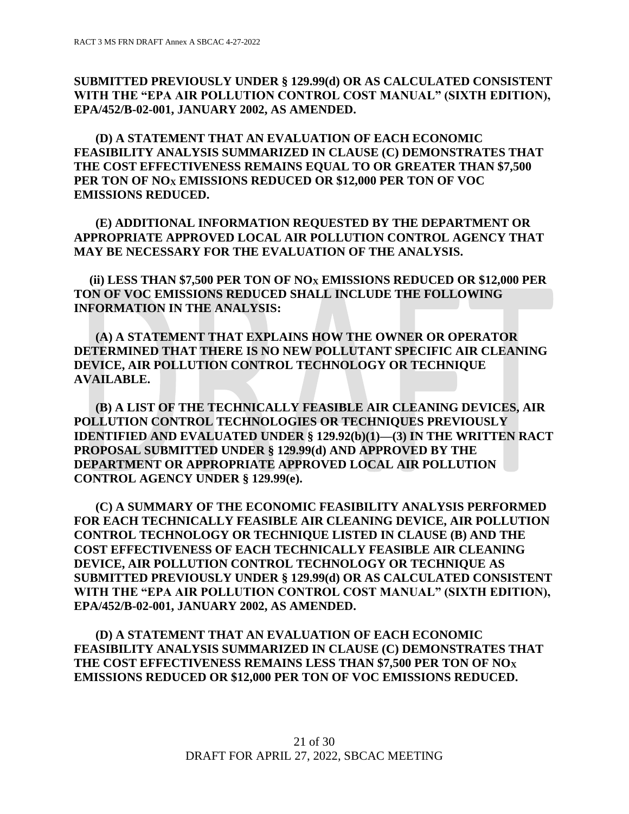**SUBMITTED PREVIOUSLY UNDER § 129.99(d) OR AS CALCULATED CONSISTENT WITH THE "EPA AIR POLLUTION CONTROL COST MANUAL" (SIXTH EDITION), EPA/452/B-02-001, JANUARY 2002, AS AMENDED.** 

 **(D) A STATEMENT THAT AN EVALUATION OF EACH ECONOMIC FEASIBILITY ANALYSIS SUMMARIZED IN CLAUSE (C) DEMONSTRATES THAT THE COST EFFECTIVENESS REMAINS EQUAL TO OR GREATER THAN \$7,500 PER TON OF NO<sup>X</sup> EMISSIONS REDUCED OR \$12,000 PER TON OF VOC EMISSIONS REDUCED.**

 **(E) ADDITIONAL INFORMATION REQUESTED BY THE DEPARTMENT OR APPROPRIATE APPROVED LOCAL AIR POLLUTION CONTROL AGENCY THAT MAY BE NECESSARY FOR THE EVALUATION OF THE ANALYSIS.**

 **(ii) LESS THAN \$7,500 PER TON OF NO<sup>X</sup> EMISSIONS REDUCED OR \$12,000 PER TON OF VOC EMISSIONS REDUCED SHALL INCLUDE THE FOLLOWING INFORMATION IN THE ANALYSIS:**

 **(A) A STATEMENT THAT EXPLAINS HOW THE OWNER OR OPERATOR DETERMINED THAT THERE IS NO NEW POLLUTANT SPECIFIC AIR CLEANING DEVICE, AIR POLLUTION CONTROL TECHNOLOGY OR TECHNIQUE AVAILABLE.**

 **(B) A LIST OF THE TECHNICALLY FEASIBLE AIR CLEANING DEVICES, AIR POLLUTION CONTROL TECHNOLOGIES OR TECHNIQUES PREVIOUSLY IDENTIFIED AND EVALUATED UNDER § 129.92(b)(1)—(3) IN THE WRITTEN RACT PROPOSAL SUBMITTED UNDER § 129.99(d) AND APPROVED BY THE DEPARTMENT OR APPROPRIATE APPROVED LOCAL AIR POLLUTION CONTROL AGENCY UNDER § 129.99(e).** 

 **(C) A SUMMARY OF THE ECONOMIC FEASIBILITY ANALYSIS PERFORMED FOR EACH TECHNICALLY FEASIBLE AIR CLEANING DEVICE, AIR POLLUTION CONTROL TECHNOLOGY OR TECHNIQUE LISTED IN CLAUSE (B) AND THE COST EFFECTIVENESS OF EACH TECHNICALLY FEASIBLE AIR CLEANING DEVICE, AIR POLLUTION CONTROL TECHNOLOGY OR TECHNIQUE AS SUBMITTED PREVIOUSLY UNDER § 129.99(d) OR AS CALCULATED CONSISTENT WITH THE "EPA AIR POLLUTION CONTROL COST MANUAL" (SIXTH EDITION), EPA/452/B-02-001, JANUARY 2002, AS AMENDED.** 

 **(D) A STATEMENT THAT AN EVALUATION OF EACH ECONOMIC FEASIBILITY ANALYSIS SUMMARIZED IN CLAUSE (C) DEMONSTRATES THAT THE COST EFFECTIVENESS REMAINS LESS THAN \$7,500 PER TON OF NO<sup>X</sup> EMISSIONS REDUCED OR \$12,000 PER TON OF VOC EMISSIONS REDUCED.**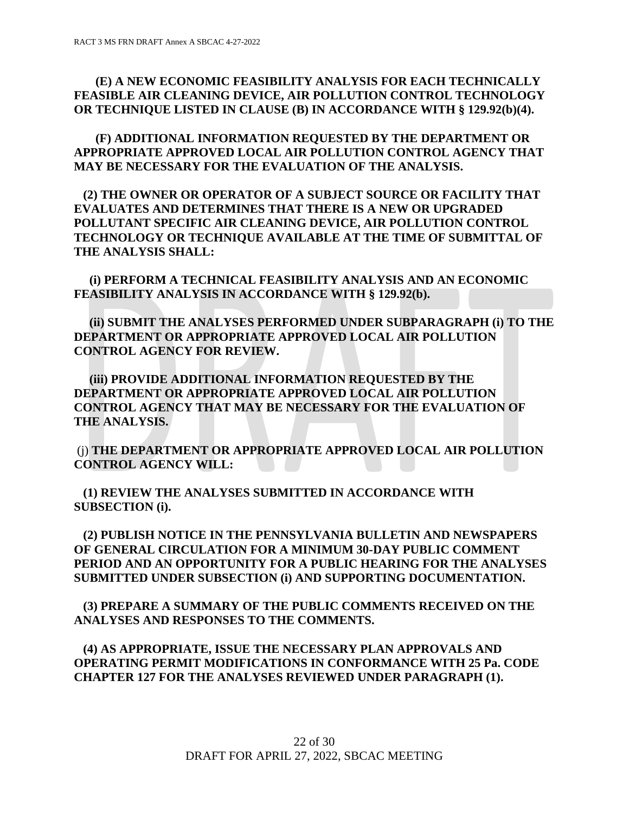# **(E) A NEW ECONOMIC FEASIBILITY ANALYSIS FOR EACH TECHNICALLY FEASIBLE AIR CLEANING DEVICE, AIR POLLUTION CONTROL TECHNOLOGY OR TECHNIQUE LISTED IN CLAUSE (B) IN ACCORDANCE WITH § 129.92(b)(4).**

 **(F) ADDITIONAL INFORMATION REQUESTED BY THE DEPARTMENT OR APPROPRIATE APPROVED LOCAL AIR POLLUTION CONTROL AGENCY THAT MAY BE NECESSARY FOR THE EVALUATION OF THE ANALYSIS.**

 **(2) THE OWNER OR OPERATOR OF A SUBJECT SOURCE OR FACILITY THAT EVALUATES AND DETERMINES THAT THERE IS A NEW OR UPGRADED POLLUTANT SPECIFIC AIR CLEANING DEVICE, AIR POLLUTION CONTROL TECHNOLOGY OR TECHNIQUE AVAILABLE AT THE TIME OF SUBMITTAL OF THE ANALYSIS SHALL:**

 **(i) PERFORM A TECHNICAL FEASIBILITY ANALYSIS AND AN ECONOMIC FEASIBILITY ANALYSIS IN ACCORDANCE WITH § 129.92(b).**

 **(ii) SUBMIT THE ANALYSES PERFORMED UNDER SUBPARAGRAPH (i) TO THE DEPARTMENT OR APPROPRIATE APPROVED LOCAL AIR POLLUTION CONTROL AGENCY FOR REVIEW.**

 **(iii) PROVIDE ADDITIONAL INFORMATION REQUESTED BY THE DEPARTMENT OR APPROPRIATE APPROVED LOCAL AIR POLLUTION CONTROL AGENCY THAT MAY BE NECESSARY FOR THE EVALUATION OF THE ANALYSIS.**

(j) **THE DEPARTMENT OR APPROPRIATE APPROVED LOCAL AIR POLLUTION CONTROL AGENCY WILL:**

 **(1) REVIEW THE ANALYSES SUBMITTED IN ACCORDANCE WITH SUBSECTION (i).**

 **(2) PUBLISH NOTICE IN THE PENNSYLVANIA BULLETIN AND NEWSPAPERS OF GENERAL CIRCULATION FOR A MINIMUM 30-DAY PUBLIC COMMENT PERIOD AND AN OPPORTUNITY FOR A PUBLIC HEARING FOR THE ANALYSES SUBMITTED UNDER SUBSECTION (i) AND SUPPORTING DOCUMENTATION.**

 **(3) PREPARE A SUMMARY OF THE PUBLIC COMMENTS RECEIVED ON THE ANALYSES AND RESPONSES TO THE COMMENTS.**

 **(4) AS APPROPRIATE, ISSUE THE NECESSARY PLAN APPROVALS AND OPERATING PERMIT MODIFICATIONS IN CONFORMANCE WITH 25 Pa. CODE CHAPTER 127 FOR THE ANALYSES REVIEWED UNDER PARAGRAPH (1).**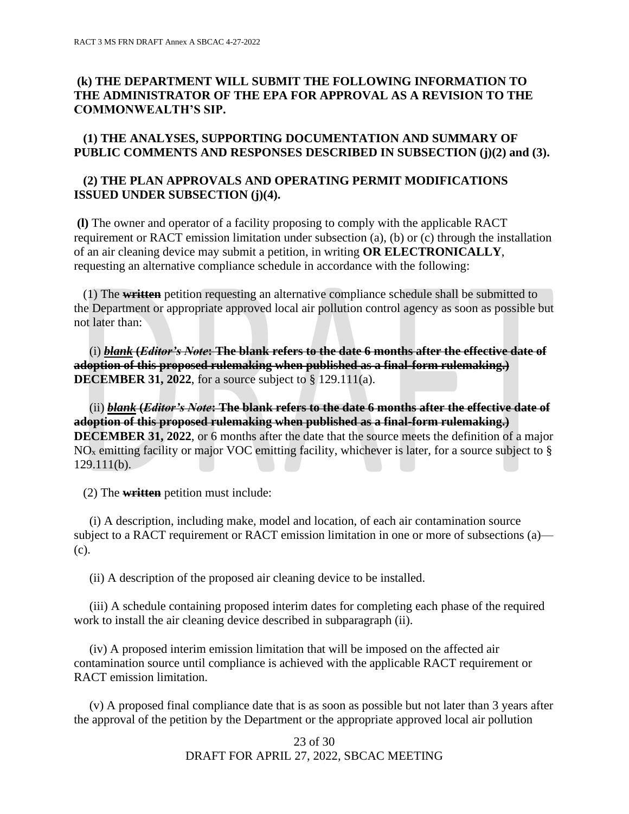# **(k) THE DEPARTMENT WILL SUBMIT THE FOLLOWING INFORMATION TO THE ADMINISTRATOR OF THE EPA FOR APPROVAL AS A REVISION TO THE COMMONWEALTH'S SIP.**

### **(1) THE ANALYSES, SUPPORTING DOCUMENTATION AND SUMMARY OF PUBLIC COMMENTS AND RESPONSES DESCRIBED IN SUBSECTION (j)(2) and (3).**

### **(2) THE PLAN APPROVALS AND OPERATING PERMIT MODIFICATIONS ISSUED UNDER SUBSECTION (j)(4).**

**(l)** The owner and operator of a facility proposing to comply with the applicable RACT requirement or RACT emission limitation under subsection (a), (b) or (c) through the installation of an air cleaning device may submit a petition, in writing **OR ELECTRONICALLY**, requesting an alternative compliance schedule in accordance with the following:

 (1) The **written** petition requesting an alternative compliance schedule shall be submitted to the Department or appropriate approved local air pollution control agency as soon as possible but not later than:

 (i) *blank* **(***Editor's Note***: The blank refers to the date 6 months after the effective date of adoption of this proposed rulemaking when published as a final-form rulemaking.) DECEMBER 31, 2022**, for a source subject to § 129.111(a).

 (ii) *blank* **(***Editor's Note***: The blank refers to the date 6 months after the effective date of adoption of this proposed rulemaking when published as a final-form rulemaking.) DECEMBER 31, 2022**, or 6 months after the date that the source meets the definition of a major  $NO<sub>x</sub>$  emitting facility or major VOC emitting facility, whichever is later, for a source subject to  $\S$ 129.111(b).

(2) The **written** petition must include:

 (i) A description, including make, model and location, of each air contamination source subject to a RACT requirement or RACT emission limitation in one or more of subsections (a)— (c).

(ii) A description of the proposed air cleaning device to be installed.

 (iii) A schedule containing proposed interim dates for completing each phase of the required work to install the air cleaning device described in subparagraph (ii).

 (iv) A proposed interim emission limitation that will be imposed on the affected air contamination source until compliance is achieved with the applicable RACT requirement or RACT emission limitation.

 (v) A proposed final compliance date that is as soon as possible but not later than 3 years after the approval of the petition by the Department or the appropriate approved local air pollution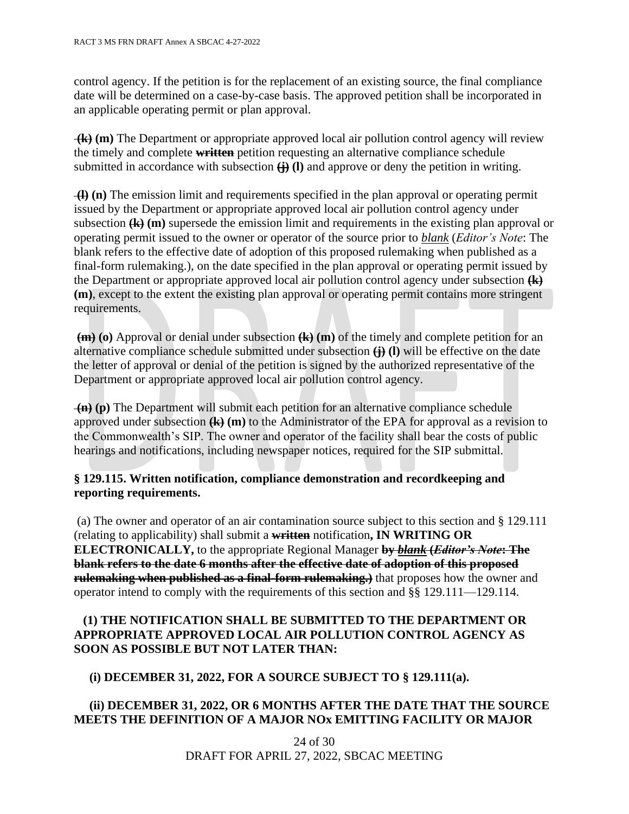control agency. If the petition is for the replacement of an existing source, the final compliance date will be determined on a case-by-case basis. The approved petition shall be incorporated in an applicable operating permit or plan approval.

**(k) (m)** The Department or appropriate approved local air pollution control agency will review the timely and complete **written** petition requesting an alternative compliance schedule submitted in accordance with subsection  $\left(\frac{1}{L}\right)$  (I) and approve or deny the petition in writing.

**(l) (n)** The emission limit and requirements specified in the plan approval or operating permit issued by the Department or appropriate approved local air pollution control agency under subsection **(k) (m)** supersede the emission limit and requirements in the existing plan approval or operating permit issued to the owner or operator of the source prior to *blank* (*Editor's Note*: The blank refers to the effective date of adoption of this proposed rulemaking when published as a final-form rulemaking.), on the date specified in the plan approval or operating permit issued by the Department or appropriate approved local air pollution control agency under subsection **(k) (m)**, except to the extent the existing plan approval or operating permit contains more stringent requirements.

**(m) (o)** Approval or denial under subsection **(k) (m)** of the timely and complete petition for an alternative compliance schedule submitted under subsection **(j) (l)** will be effective on the date the letter of approval or denial of the petition is signed by the authorized representative of the Department or appropriate approved local air pollution control agency.

**(n) (p)** The Department will submit each petition for an alternative compliance schedule approved under subsection **(k) (m)** to the Administrator of the EPA for approval as a revision to the Commonwealth's SIP. The owner and operator of the facility shall bear the costs of public hearings and notifications, including newspaper notices, required for the SIP submittal.

# **§ 129.115. Written notification, compliance demonstration and recordkeeping and reporting requirements.**

(a) The owner and operator of an air contamination source subject to this section and § 129.111 (relating to applicability) shall submit a **written** notification**, IN WRITING OR ELECTRONICALLY,** to the appropriate Regional Manager **by** *blank* **(***Editor's Note***: The blank refers to the date 6 months after the effective date of adoption of this proposed rulemaking when published as a final-form rulemaking.**) that proposes how the owner and operator intend to comply with the requirements of this section and §§ 129.111—129.114.

# **(1) THE NOTIFICATION SHALL BE SUBMITTED TO THE DEPARTMENT OR APPROPRIATE APPROVED LOCAL AIR POLLUTION CONTROL AGENCY AS SOON AS POSSIBLE BUT NOT LATER THAN:**

# **(i) DECEMBER 31, 2022, FOR A SOURCE SUBJECT TO § 129.111(a).**

# **(ii) DECEMBER 31, 2022, OR 6 MONTHS AFTER THE DATE THAT THE SOURCE MEETS THE DEFINITION OF A MAJOR NOx EMITTING FACILITY OR MAJOR**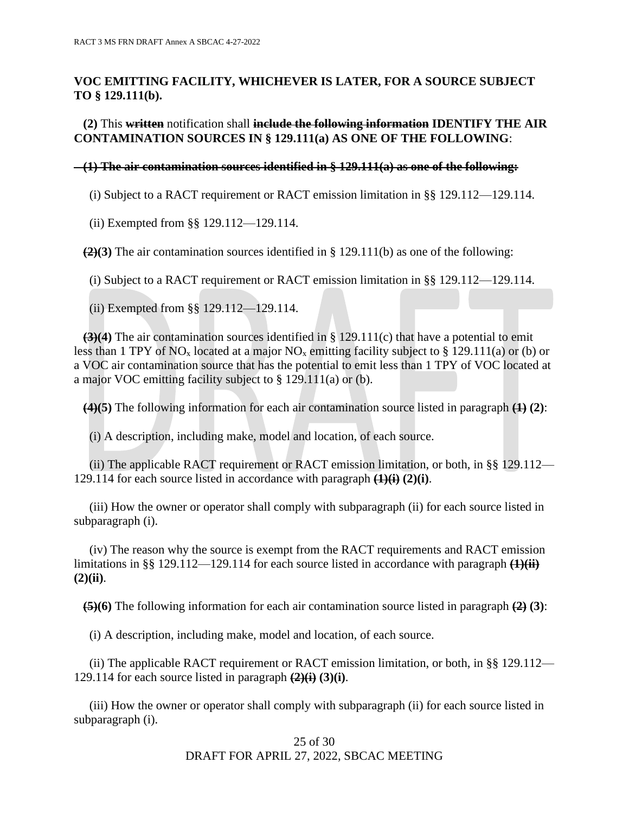# **VOC EMITTING FACILITY, WHICHEVER IS LATER, FOR A SOURCE SUBJECT TO § 129.111(b).**

# **(2)** This **written** notification shall **include the following information IDENTIFY THE AIR CONTAMINATION SOURCES IN § 129.111(a) AS ONE OF THE FOLLOWING**:

#### **(1) The air contamination sources identified in § 129.111(a) as one of the following:**

(i) Subject to a RACT requirement or RACT emission limitation in  $\S$ § 129.112—129.114.

(ii) Exempted from §§ 129.112—129.114.

 **(2)(3)** The air contamination sources identified in § 129.111(b) as one of the following:

(i) Subject to a RACT requirement or RACT emission limitation in §§ 129.112—129.114.

(ii) Exempted from §§ 129.112—129.114.

 **(3)(4)** The air contamination sources identified in § 129.111(c) that have a potential to emit less than 1 TPY of NO<sub>x</sub> located at a major NO<sub>x</sub> emitting facility subject to § 129.111(a) or (b) or a VOC air contamination source that has the potential to emit less than 1 TPY of VOC located at a major VOC emitting facility subject to § 129.111(a) or (b).

**(4)(5)** The following information for each air contamination source listed in paragraph **(1) (2)**:

(i) A description, including make, model and location, of each source.

 (ii) The applicable RACT requirement or RACT emission limitation, or both, in §§ 129.112— 129.114 for each source listed in accordance with paragraph **(1)(i) (2)(i)**.

 (iii) How the owner or operator shall comply with subparagraph (ii) for each source listed in subparagraph (i).

 (iv) The reason why the source is exempt from the RACT requirements and RACT emission limitations in §§ 129.112—129.114 for each source listed in accordance with paragraph **(1)(ii) (2)(ii)**.

 **(5)(6)** The following information for each air contamination source listed in paragraph **(2) (3)**:

(i) A description, including make, model and location, of each source.

(ii) The applicable RACT requirement or RACT emission limitation, or both, in §§ 129.112— 129.114 for each source listed in paragraph **(2)(i) (3)(i)**.

 (iii) How the owner or operator shall comply with subparagraph (ii) for each source listed in subparagraph (i).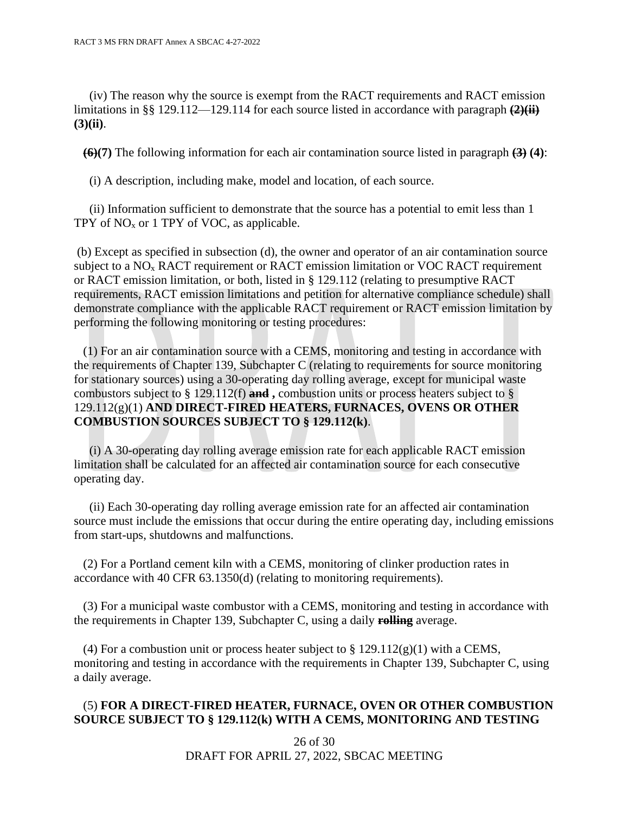(iv) The reason why the source is exempt from the RACT requirements and RACT emission limitations in §§ 129.112—129.114 for each source listed in accordance with paragraph **(2)(ii) (3)(ii)**.

**(6)(7)** The following information for each air contamination source listed in paragraph **(3) (4)**:

(i) A description, including make, model and location, of each source.

 (ii) Information sufficient to demonstrate that the source has a potential to emit less than 1 TPY of  $NO<sub>x</sub>$  or 1 TPY of VOC, as applicable.

(b) Except as specified in subsection (d), the owner and operator of an air contamination source subject to a  $NO<sub>x</sub>$  RACT requirement or RACT emission limitation or VOC RACT requirement or RACT emission limitation, or both, listed in § 129.112 (relating to presumptive RACT requirements, RACT emission limitations and petition for alternative compliance schedule) shall demonstrate compliance with the applicable RACT requirement or RACT emission limitation by performing the following monitoring or testing procedures:

 (1) For an air contamination source with a CEMS, monitoring and testing in accordance with the requirements of Chapter 139, Subchapter C (relating to requirements for source monitoring for stationary sources) using a 30-operating day rolling average, except for municipal waste combustors subject to § 129.112(f) **and ,** combustion units or process heaters subject to § 129.112(g)(1) **AND DIRECT-FIRED HEATERS, FURNACES, OVENS OR OTHER COMBUSTION SOURCES SUBJECT TO § 129.112(k)**.

 (i) A 30-operating day rolling average emission rate for each applicable RACT emission limitation shall be calculated for an affected air contamination source for each consecutive operating day.

 (ii) Each 30-operating day rolling average emission rate for an affected air contamination source must include the emissions that occur during the entire operating day, including emissions from start-ups, shutdowns and malfunctions.

 (2) For a Portland cement kiln with a CEMS, monitoring of clinker production rates in accordance with 40 CFR 63.1350(d) (relating to monitoring requirements).

 (3) For a municipal waste combustor with a CEMS, monitoring and testing in accordance with the requirements in Chapter 139, Subchapter C, using a daily **rolling** average.

(4) For a combustion unit or process heater subject to  $\S 129.112(g)(1)$  with a CEMS, monitoring and testing in accordance with the requirements in Chapter 139, Subchapter C, using a daily average.

### (5) **FOR A DIRECT-FIRED HEATER, FURNACE, OVEN OR OTHER COMBUSTION SOURCE SUBJECT TO § 129.112(k) WITH A CEMS, MONITORING AND TESTING**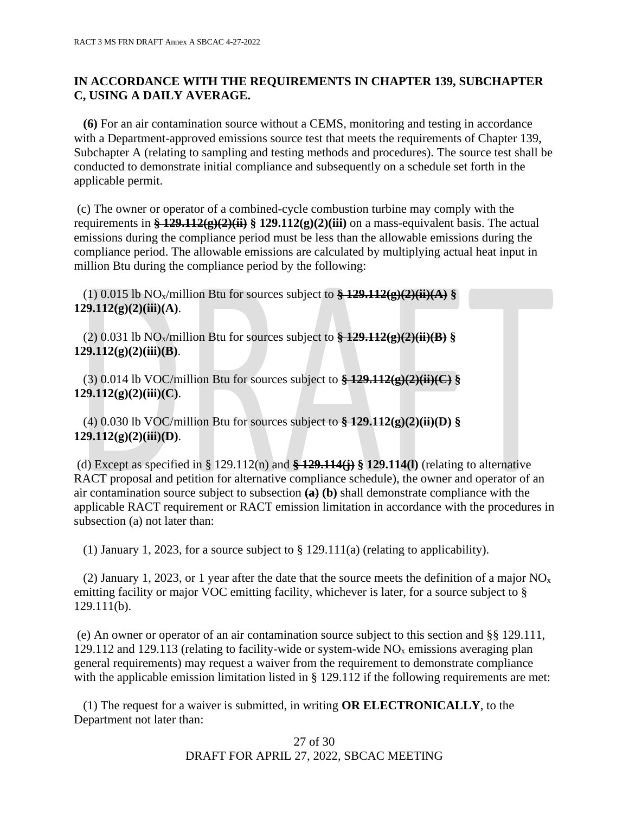# **IN ACCORDANCE WITH THE REQUIREMENTS IN CHAPTER 139, SUBCHAPTER C, USING A DAILY AVERAGE.**

 **(6)** For an air contamination source without a CEMS, monitoring and testing in accordance with a Department-approved emissions source test that meets the requirements of Chapter 139, Subchapter A (relating to sampling and testing methods and procedures). The source test shall be conducted to demonstrate initial compliance and subsequently on a schedule set forth in the applicable permit.

(c) The owner or operator of a combined-cycle combustion turbine may comply with the requirements in **§ 129.112(g)(2)(ii) § 129.112(g)(2)(iii)** on a mass-equivalent basis. The actual emissions during the compliance period must be less than the allowable emissions during the compliance period. The allowable emissions are calculated by multiplying actual heat input in million Btu during the compliance period by the following:

 (1) 0.015 lb NOx/million Btu for sources subject to **§ 129.112(g)(2)(ii)(A) § 129.112(g)(2)(iii)(A)**.

 (2) 0.031 lb NOx/million Btu for sources subject to **§ 129.112(g)(2)(ii)(B) § 129.112(g)(2)(iii)(B)**.

 (3) 0.014 lb VOC/million Btu for sources subject to **§ 129.112(g)(2)(ii)(C) § 129.112(g)(2)(iii)(C)**.

 (4) 0.030 lb VOC/million Btu for sources subject to **§ 129.112(g)(2)(ii)(D) § 129.112(g)(2)(iii)(D)**.

(d) Except as specified in § 129.112(n) and **§ 129.114(j) § 129.114(l)** (relating to alternative RACT proposal and petition for alternative compliance schedule), the owner and operator of an air contamination source subject to subsection **(a) (b)** shall demonstrate compliance with the applicable RACT requirement or RACT emission limitation in accordance with the procedures in subsection (a) not later than:

(1) January 1, 2023, for a source subject to § 129.111(a) (relating to applicability).

(2) January 1, 2023, or 1 year after the date that the source meets the definition of a major  $NO<sub>x</sub>$ emitting facility or major VOC emitting facility, whichever is later, for a source subject to § 129.111(b).

(e) An owner or operator of an air contamination source subject to this section and §§ 129.111, 129.112 and 129.113 (relating to facility-wide or system-wide  $NO<sub>x</sub>$  emissions averaging plan general requirements) may request a waiver from the requirement to demonstrate compliance with the applicable emission limitation listed in § 129.112 if the following requirements are met:

 (1) The request for a waiver is submitted, in writing **OR ELECTRONICALLY**, to the Department not later than: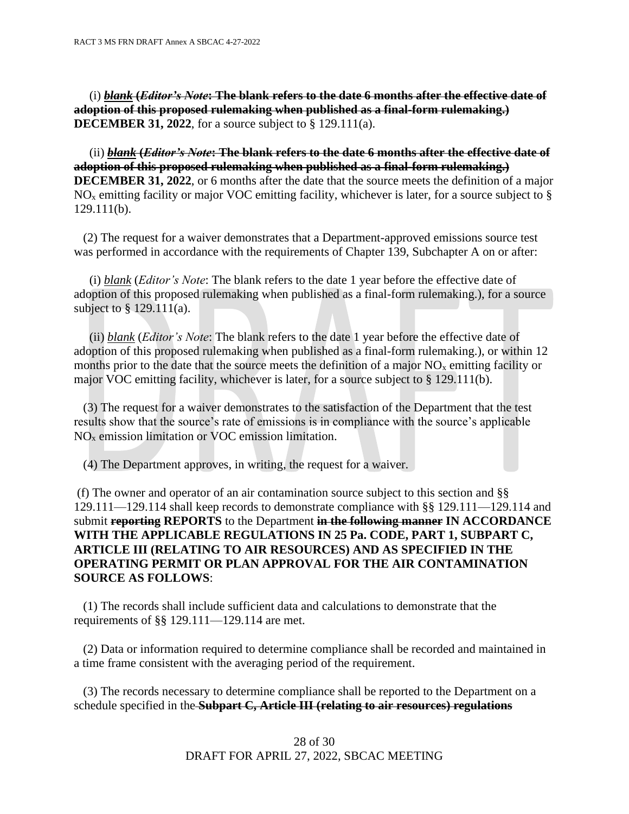(i) *blank* **(***Editor's Note***: The blank refers to the date 6 months after the effective date of adoption of this proposed rulemaking when published as a final-form rulemaking.) DECEMBER 31, 2022**, for a source subject to § 129.111(a).

 (ii) *blank* **(***Editor's Note***: The blank refers to the date 6 months after the effective date of adoption of this proposed rulemaking when published as a final-form rulemaking.) DECEMBER 31, 2022**, or 6 months after the date that the source meets the definition of a major  $NO<sub>x</sub>$  emitting facility or major VOC emitting facility, whichever is later, for a source subject to  $\S$ 129.111(b).

 (2) The request for a waiver demonstrates that a Department-approved emissions source test was performed in accordance with the requirements of Chapter 139, Subchapter A on or after:

 (i) *blank* (*Editor's Note*: The blank refers to the date 1 year before the effective date of adoption of this proposed rulemaking when published as a final-form rulemaking.), for a source subject to § 129.111(a).

 (ii) *blank* (*Editor's Note*: The blank refers to the date 1 year before the effective date of adoption of this proposed rulemaking when published as a final-form rulemaking.), or within 12 months prior to the date that the source meets the definition of a major  $NO<sub>x</sub>$  emitting facility or major VOC emitting facility, whichever is later, for a source subject to § 129.111(b).

 (3) The request for a waiver demonstrates to the satisfaction of the Department that the test results show that the source's rate of emissions is in compliance with the source's applicable NO<sup>x</sup> emission limitation or VOC emission limitation.

(4) The Department approves, in writing, the request for a waiver.

(f) The owner and operator of an air contamination source subject to this section and §§ 129.111—129.114 shall keep records to demonstrate compliance with §§ 129.111—129.114 and submit **reporting REPORTS** to the Department **in the following manner IN ACCORDANCE WITH THE APPLICABLE REGULATIONS IN 25 Pa. CODE, PART 1, SUBPART C, ARTICLE III (RELATING TO AIR RESOURCES) AND AS SPECIFIED IN THE OPERATING PERMIT OR PLAN APPROVAL FOR THE AIR CONTAMINATION SOURCE AS FOLLOWS**:

 (1) The records shall include sufficient data and calculations to demonstrate that the requirements of §§ 129.111—129.114 are met.

 (2) Data or information required to determine compliance shall be recorded and maintained in a time frame consistent with the averaging period of the requirement.

 (3) The records necessary to determine compliance shall be reported to the Department on a schedule specified in the **Subpart C, Article III (relating to air resources) regulations**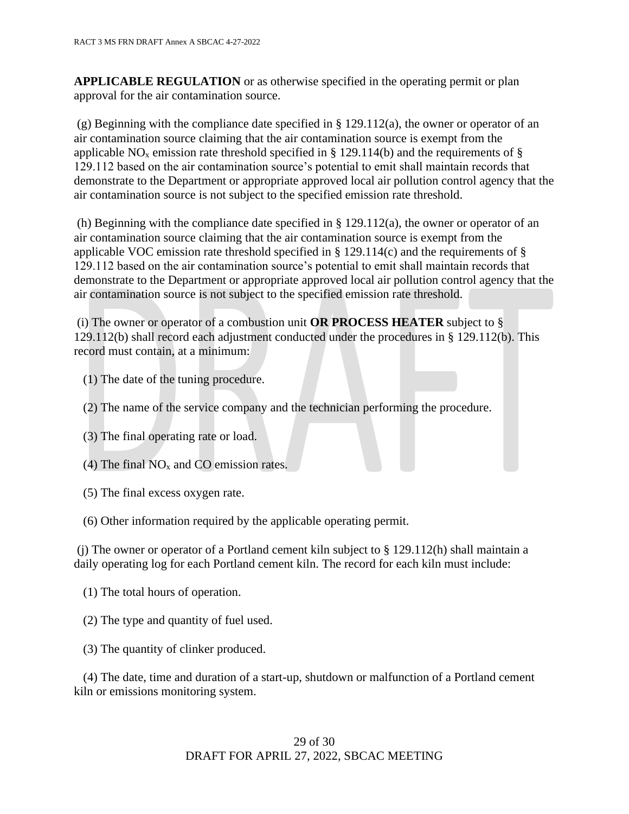**APPLICABLE REGULATION** or as otherwise specified in the operating permit or plan approval for the air contamination source.

(g) Beginning with the compliance date specified in § 129.112(a), the owner or operator of an air contamination source claiming that the air contamination source is exempt from the applicable NO<sub>x</sub> emission rate threshold specified in § 129.114(b) and the requirements of § 129.112 based on the air contamination source's potential to emit shall maintain records that demonstrate to the Department or appropriate approved local air pollution control agency that the air contamination source is not subject to the specified emission rate threshold.

(h) Beginning with the compliance date specified in § 129.112(a), the owner or operator of an air contamination source claiming that the air contamination source is exempt from the applicable VOC emission rate threshold specified in  $\S$  129.114(c) and the requirements of  $\S$ 129.112 based on the air contamination source's potential to emit shall maintain records that demonstrate to the Department or appropriate approved local air pollution control agency that the air contamination source is not subject to the specified emission rate threshold.

(i) The owner or operator of a combustion unit **OR PROCESS HEATER** subject to § 129.112(b) shall record each adjustment conducted under the procedures in § 129.112(b). This record must contain, at a minimum:

- (1) The date of the tuning procedure.
- (2) The name of the service company and the technician performing the procedure.
- (3) The final operating rate or load.
- (4) The final  $NO<sub>x</sub>$  and CO emission rates.
- (5) The final excess oxygen rate.
- (6) Other information required by the applicable operating permit.

(i) The owner or operator of a Portland cement kiln subject to  $\S 129.112(h)$  shall maintain a daily operating log for each Portland cement kiln. The record for each kiln must include:

- (1) The total hours of operation.
- (2) The type and quantity of fuel used.
- (3) The quantity of clinker produced.

 (4) The date, time and duration of a start-up, shutdown or malfunction of a Portland cement kiln or emissions monitoring system.